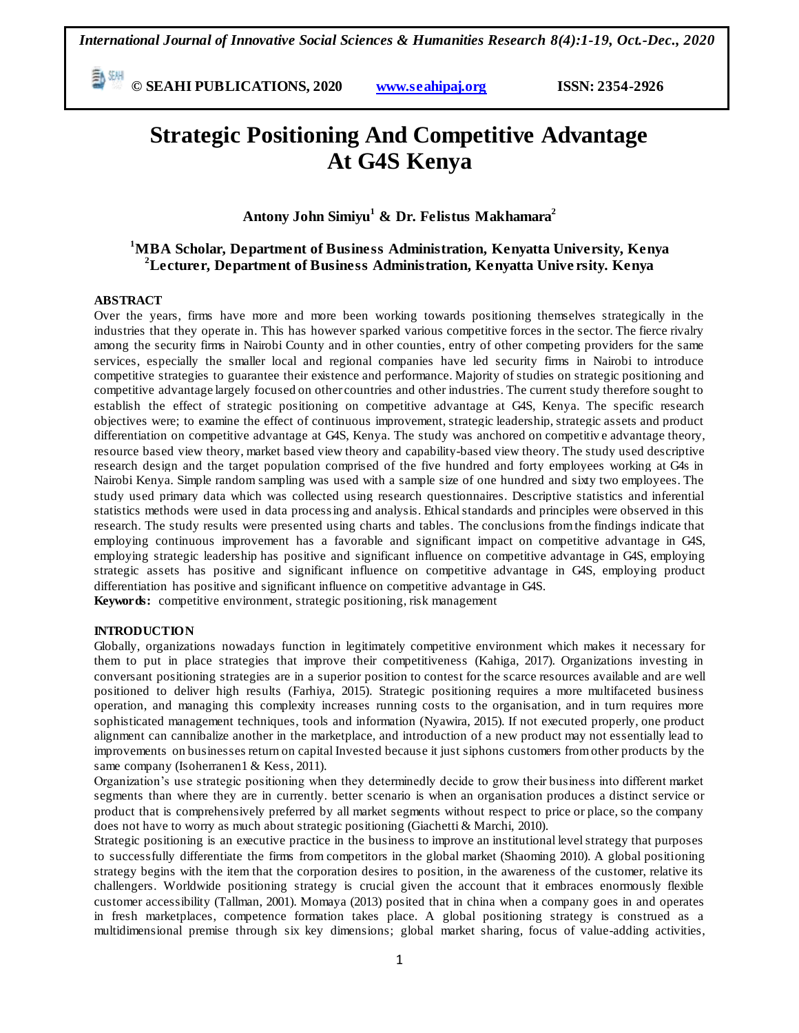**E**  $\frac{50\text{ MHz}}{200}$  **C** SEAHI PUBLICATIONS, 2020 *www.seahipaj.org* **ISSN: 2354-2926** 

# **Strategic Positioning And Competitive Advantage At G4S Kenya**

**Antony John Simiyu<sup>1</sup> & Dr. Felistus Makhamara<sup>2</sup>**

### **<sup>1</sup>MBA Scholar, Department of Business Administration, Kenyatta University, Kenya <sup>2</sup>Lecturer, Department of Business Administration, Kenyatta Unive rsity. Kenya**

#### **ABSTRACT**

Over the years, firms have more and more been working towards positioning themselves strategically in the industries that they operate in. This has however sparked various competitive forces in the sector. The fierce rivalry among the security firms in Nairobi County and in other counties, entry of other competing providers for the same services, especially the smaller local and regional companies have led security firms in Nairobi to introduce competitive strategies to guarantee their existence and performance. Majority of studies on strategic positioning and competitive advantage largely focused on other countries and other industries. The current study therefore sought to establish the effect of strategic positioning on competitive advantage at G4S, Kenya. The specific research objectives were; to examine the effect of continuous improvement, strategic leadership, strategic assets and product differentiation on competitive advantage at G4S, Kenya. The study was anchored on competitiv e advantage theory, resource based view theory, market based view theory and capability-based view theory. The study used descriptive research design and the target population comprised of the five hundred and forty employees working at G4s in Nairobi Kenya. Simple random sampling was used with a sample size of one hundred and sixty two employees. The study used primary data which was collected using research questionnaires. Descriptive statistics and inferential statistics methods were used in data processing and analysis. Ethical standards and principles were observed in this research. The study results were presented using charts and tables. The conclusions from the findings indicate that employing continuous improvement has a favorable and significant impact on competitive advantage in G4S, employing strategic leadership has positive and significant influence on competitive advantage in G4S, employing strategic assets has positive and significant influence on competitive advantage in G4S, employing product differentiation has positive and significant influence on competitive advantage in G4S. **Keywords:** competitive environment, strategic positioning, risk management

#### **INTRODUCTION**

Globally, organizations nowadays function in legitimately competitive environment which makes it necessary for them to put in place strategies that improve their competitiveness (Kahiga, 2017). Organizations investing in conversant positioning strategies are in a superior position to contest for the scarce resources available and are well positioned to deliver high results (Farhiya, 2015). Strategic positioning requires a more multifaceted business operation, and managing this complexity increases running costs to the organisation, and in turn requires more sophisticated management techniques, tools and information (Nyawira, 2015). If not executed properly, one product alignment can cannibalize another in the marketplace, and introduction of a new product may not essentially lead to improvements on businesses return on capital Invested because it just siphons customers from other products by the same company (Isoherranen1 & Kess, 2011).

Organization"s use strategic positioning when they determinedly decide to grow their business into different market segments than where they are in currently. better scenario is when an organisation produces a distinct service or product that is comprehensively preferred by all market segments without respect to price or place, so the company does not have to worry as much about strategic positioning (Giachetti & Marchi, 2010).

Strategic positioning is an executive practice in the business to improve an institutional level strategy that purposes to successfully differentiate the firms from competitors in the global market (Shaoming 2010). A global positioning strategy begins with the item that the corporation desires to position, in the awareness of the customer, relative its challengers. Worldwide positioning strategy is crucial given the account that it embraces enormously flexible customer accessibility (Tallman, 2001). Momaya (2013) posited that in china when a company goes in and operates in fresh marketplaces, competence formation takes place. A global positioning strategy is construed as a multidimensional premise through six key dimensions; global market sharing, focus of value-adding activities,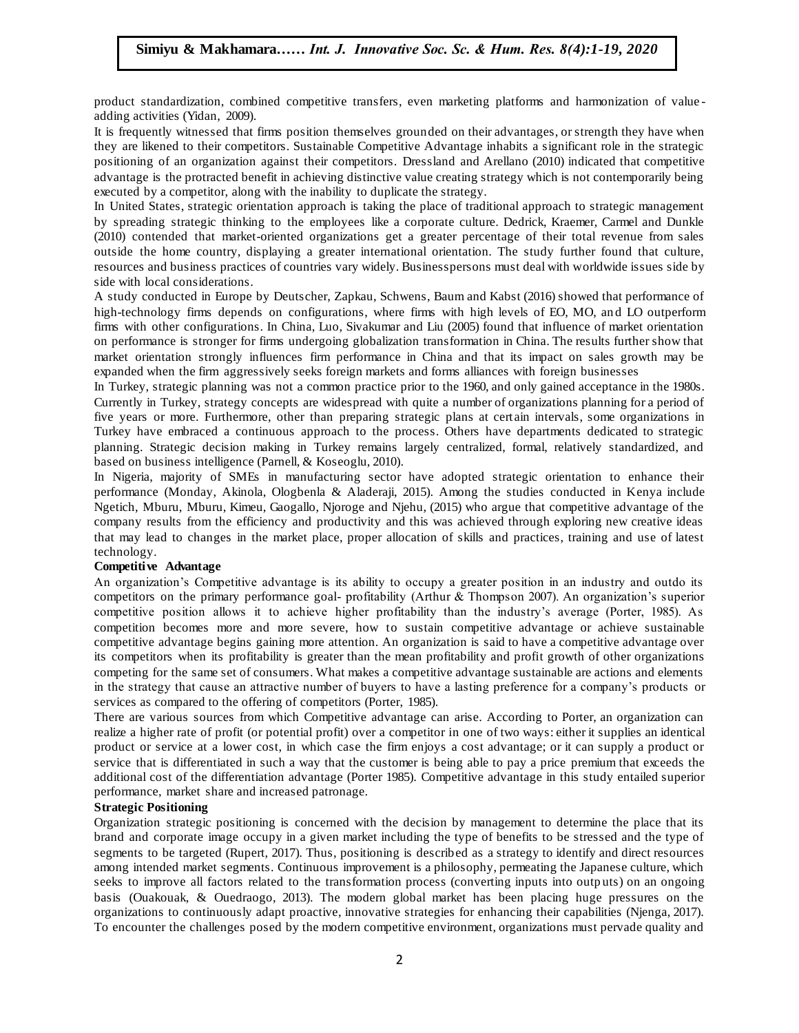product standardization, combined competitive transfers, even marketing platforms and harmonization of value adding activities (Yidan, 2009).

It is frequently witnessed that firms position themselves grounded on their advantages, or strength they have when they are likened to their competitors. Sustainable Competitive Advantage inhabits a significant role in the strategic positioning of an organization against their competitors. Dressland and Arellano (2010) indicated that competitive advantage is the protracted benefit in achieving distinctive value creating strategy which is not contemporarily being provated by a sense with the installity to during the strategy which is not contemporarily being executed by a competitor, along with the inability to duplicate the strategy.

In United States, strategic orientation approach is taking the place of traditional approach to strategic management by spreading strategic thinking to the employees like a corporate culture. Dedrick, Kraemer, Carmel and Dunkle (2010) contended that market-oriented organizations get a greater percentage of their total revenue from sales outside the home country, displaying a greater international orientation. The study further found that culture, resources and business practices of countries vary widely. Businesspersons must deal with worldwide issues side by side with local considerations.

A study conducted in Europe by Deutscher, Zapkau, Schwens, Baum and Kabst (2016) showed that performance of high-technology firms depends on configurations, where firms with high levels of EO, MO, and LO outperform firms with other configurations. In China, Luo, Sivakumar and Liu (2005) found that influence of market orientation on performance is stronger for firms undergoing globalization transformation in China. The results further show that market orientation strongly influences firm performance in China and that its impact on sales growth may be expanded when the firm aggressively seeks foreign markets and forms alliances with foreign businesses

In Turkey, strategic planning was not a common practice prior to the 1960, and only gained acceptance in the 1980s. Currently in Turkey, strategy concepts are widespread with quite a number of organizations planning for a period of five years or more. Furthermore, other than preparing strategic plans at cert ain intervals, some organizations in Turkey have embraced a continuous approach to the process. Others have departments dedicated to strategic planning. Strategic decision making in Turkey remains largely centralized, formal, relatively standardized, and based on business intelligence (Parnell, & Koseoglu, 2010).

In Nigeria, majority of SMEs in manufacturing sector have adopted strategic orientation to enhance their performance (Monday, Akinola, Ologbenla & Aladeraji, 2015). Among the studies conducted in Kenya include Ngetich, Mburu, Mburu, Kimeu, Gaogallo, Njoroge and Njehu, (2015) who argue that competitive advantage of the regetien, Mouru, Mouru, Kinku, Gaogano, Njoroge and Njehu, (2015) who argue that competitive advantage of the<br>company results from the efficiency and productivity and this was achieved through exploring new creative ideas that may lead to changes in the market place, proper allocation of skills and practices, training and use of latest technology.

#### **Competitive Advantage**

An organization"s Competitive advantage is its ability to occupy a greater position in an industry and outdo its competitors on the primary performance goal- profitability (Arthur & Thompson 2007). An organization"s superior competitive position allows it to achieve higher profitability than the industry"s average (Porter, 1985). As competition becomes more and more severe, how to sustain competitive advantage or achieve sustainable competitive advantage begins gaining more attention. An organization is said to have a competitive advantage over its competitors when its profitability is greater than the mean profitability and profit growth of other organizations competing for the same set of consumers. What makes a competitive advantage sustainable are actions and elements in the strategy that cause an attractive number of buyers to have a lasting preference for a company"s products or services as compared to the offering of competitors (Porter, 1985).

There are various sources from which Competitive advantage can arise. According to Porter, an organization can realize a higher rate of profit (or potential profit) over a competitor in one of two ways: either it supplies an identical product or service at a lower cost, in which case the firm enjoys a cost advantage; or it can supply a product or service that is differentiated in such a way that the customer is being able to pay a price premium that exceeds the additional cost of the differentiation advantage (Porter 1985). Competitive advantage in this study entailed superior performance, market share and increased patronage.

#### **Strategic Positioning**

Organization strategic positioning is concerned with the decision by management to determine the place that its brand and corporate image occupy in a given market including the type of benefits to be stressed and the type of segments to be targeted (Rupert, 2017). Thus, positioning is described as a strategy to identify and direct resources among intended market segments. Continuous improvement is a philosophy, permeating the Japanese culture, which seeks to improve all factors related to the transformation process (converting inputs into outp uts) on an ongoing basis (Ouakouak, & Ouedraogo, 2013). The modern global market has been placing huge pressures on the organizations to continuously adapt proactive, innovative strategies for enhancing their capabilities (Njenga, 2017). To encounter the challenges posed by the modern competitive environment, organizations must pervade quality and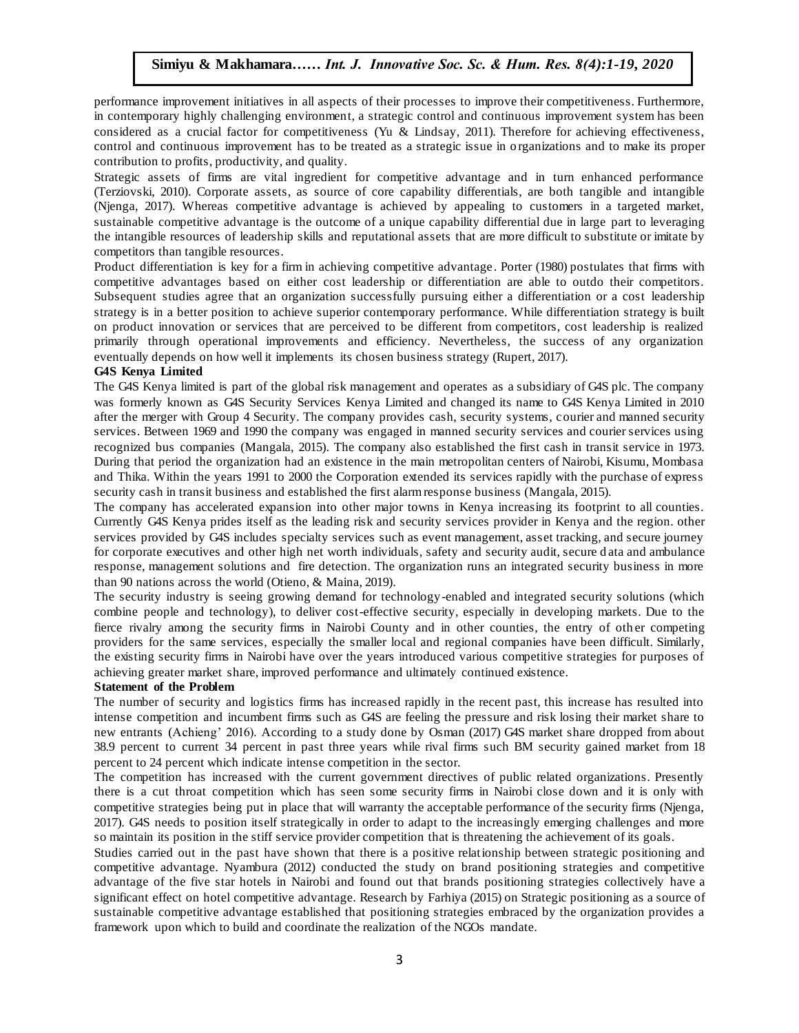performance improvement initiatives in all aspects of their processes to improve their competitiveness. Furthermore, in contemporary highly challenging environment, a strategic control and continuous improvement system has been considered as a crucial factor for competitiveness (Yu & Lindsay, 2011). Therefore for achieving effectiveness, control and continuous improvement has to be treated as a strategic issue in o rganizations and to make its proper contribution to profits, productivity, and quality.

Strategic assets of firms are vital ingredient for competitive advantage and in turn enhanced performance (Terziovski, 2010). Corporate assets, as source of core capability differentials, are both tangible and intangible (Terziovski, 2010). Corporate assets, as source or core capability differentials, are both tanglole and intanglole<br>(Njenga, 2017). Whereas competitive advantage is achieved by appealing to customers in a targeted market, sustainable competitive advantage is the outcome of a unique capability differential due in large part to leveraging the intangible resources of leadership skills and reputational assets that are more difficult to substitute or imitate by competitors than tangible resources.

Product differentiation is key for a firm in achieving competitive advantage. Porter (1980) postulates that firms with competitive advantages based on either cost leadership or differentiation are able to outdo their competitors. Subsequent studies agree that an organization successfully pursuing either a differentiation or a cost leadership strategy is in a better position to achieve superior contemporary performance. While differentiation strategy is built on product innovation or services that are perceived to be different from competitors, cost leadership is realized primarily through operational improvements and efficiency. Nevertheless, the success of any organization eventually depends on how well it implements its chosen business strategy (Rupert, 2017).

#### **G4S Kenya Limited**

The G4S Kenya limited is part of the global risk management and operates as a subsidiary of G4S plc. The company was formerly known as G4S Security Services Kenya Limited and changed its name to G4S Kenya Limited in 2010 after the merger with Group 4 Security. The company provides cash, security systems, courier and manned security services. Between 1969 and 1990 the company was engaged in manned security services and courier services using recognized bus companies (Mangala, 2015). The company also established the first cash in transit service in 1973. During that period the organization had an existence in the main metropolitan centers of Nairobi, Kisumu, Mombasa and Thika. Within the years 1991 to 2000 the Corporation extended its services rapidly with the purchase of express security cash in transit business and established the first alarm response business (Mangala, 2015).

The company has accelerated expansion into other major towns in Kenya increasing its footprint to all counties. Currently G4S Kenya prides itself as the leading risk and security services provider in Kenya and the region. other eartenry G4S Kenya praces used as the leading risk and security services provider in Kenya and the region, offer<br>services provided by G4S includes specialty services such as event management, asset tracking, and secure jou for corporate executives and other high net worth individuals, safety and security audit, secure d ata and ambulance response, management solutions and fire detection. The organization runs an integrated security business in more than 90 nations across the world (Otieno, & Maina, 2019).

The security industry is seeing growing demand for technology-enabled and integrated security solutions (which combine people and technology), to deliver cost-effective security, especially in developing markets. Due to the fierce rivalry among the security firms in Nairobi County and in other counties, the entry of other competing providers for the same services, especially the smaller local and regional companies have been difficult. Similarly, the existing security firms in Nairobi have over the years introduced various competitive strategies for purposes of achieving greater market share, improved performance and ultimately continued existence.

#### **Statement of the Problem**

The number of security and logistics firms has increased rapidly in the recent past, this increase has resulted into intense competition and incumbent firms such as G4S are feeling the pressure and risk losing their market share to new entrants (Achieng' 2016). According to a study done by Osman (2017) G4S market share dropped from about 38.9 percent to current 34 percent in past three years while rival firms such BM security gained market from 18 percent to 24 percent which indicate intense competition in the sector.

The competition has increased with the current government directives of public related organizations. Presently there is a cut throat competition which has seen some security firms in Nairobi close down and it is only with competitive strategies being put in place that will warranty the acceptable performance of the security firms (Njenga, 2017). G4S needs to position itself strategically in order to adapt to the increasingly emerging challenges and more so maintain its position in the stiff service provider competition that is threatening the achievement of its goals.

Studies carried out in the past have shown that there is a positive relationship between strategic positioning and competitive advantage. Nyambura (2012) conducted the study on brand positioning strategies and competitive advantage of the five star hotels in Nairobi and found out that brands positioning strategies collectively have a significant effect on hotel competitive advantage. Research by Farhiya (2015) on Strategic positioning as a source of sustainable competitive advantage established that positioning strategies embraced by the organization provides a framework upon which to build and coordinate the realization of the NGOs mandate.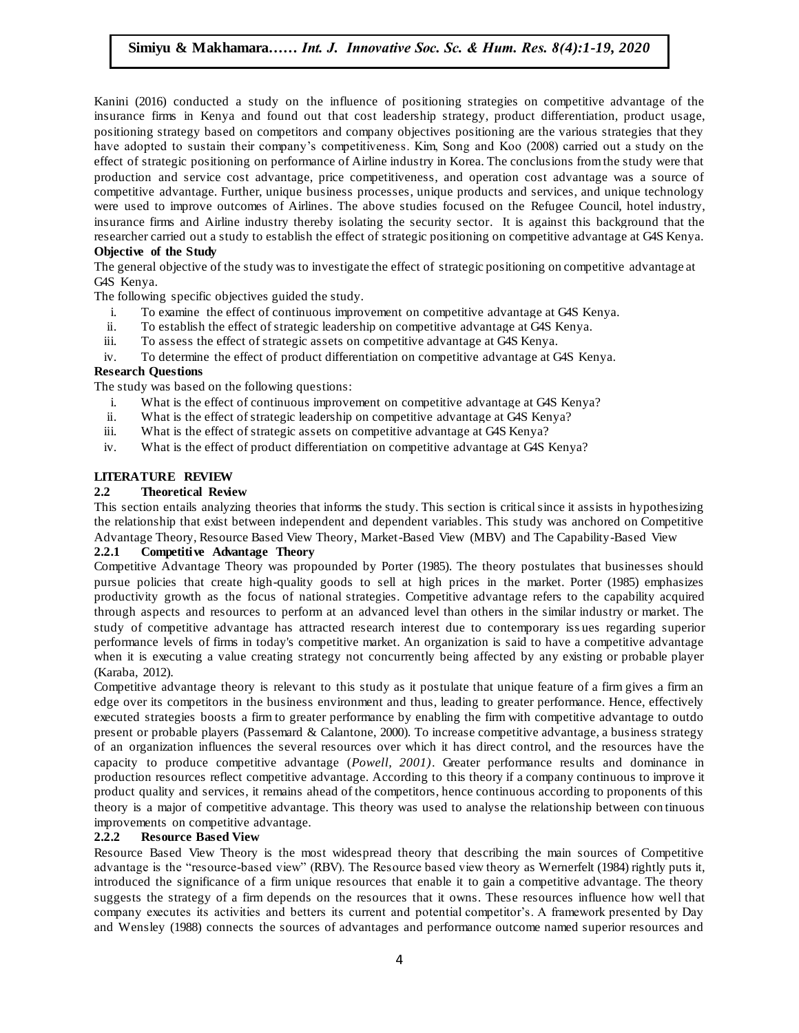Kanini (2016) conducted a study on the influence of positioning strategies on competitive advantage of the insurance firms in Kenya and found out that cost leadership strategy, product differentiation, product usage, positioning strategy based on competitors and company objectives positioning are the various strategies that they have adopted to sustain their company's competitiveness. Kim, Song and Koo (2008) carried out a study on the effect of strategic positioning on performance of Airline industry in Korea. The conclusions from the study were that production and service cost advantage, price competitiveness, and operation cost advantage was a source of competitive advantage. Further, unique business processes, unique products and services, and unique technology were used to improve outcomes of Airlines. The above studies focused on the Refugee Council, hotel industry, insurance firms and Airline industry thereby isolating the security sector. It is against this background that the researcher carried out a study to establish the effect of strategic positioning on competitive advantage at G4S Kenya. **Objective of the Study** 

The general objective of the study was to investigate the effect of strategic positioning on competitive advantage at G4S Kenya.

The following specific objectives guided the study.

- i. To examine the effect of continuous improvement on competitive advantage at G4S Kenya.
- ii. To establish the effect of strategic leadership on competitive advantage at G4S Kenya.
- iii. To assess the effect of strategic assets on competitive advantage at G4S Kenya.
- iv. To determine the effect of product differentiation on competitive advantage at G4S Kenya.

#### **Research Questions**

**The study was based on the following questions:** 

- i. What is the effect of continuous improvement on competitive advantage at G4S Kenya?
- ii. What is the effect of strategic leadership on competitive advantage at G4S Kenya?
- iii. What is the effect of strategic assets on competitive advantage at G4S Kenya?
- iv. What is the effect of product differentiation on competitive advantage at G4S Kenya?

#### **LITERATURE REVIEW**

### **2.2 Theoretical Review**

This section entails analyzing theories that informs the study. This section is critical since it assists in hypothesizing Inis section entails analyzing theories that informs the study. This section is critical since it assists in hypothesizing<br>the relationship that exist between independent and dependent variables. This study was anchored on Advantage Theory, Resource Based View Theory, Market-Based View (MBV) and The Capability-Based View

#### **2.2.1 Competitive Advantage Theory**

Competitive Advantage Theory was propounded by Porter (1985). The theory postulates that businesses should pursue policies that create high-quality goods to sell at high prices in the market. Porter (1985) emphasizes productivity growth as the focus of national strategies. Competitive advantage refers to the capability acquired through aspects and resources to perform at an advanced level than others in the similar industry or market. The study of competitive advantage has attracted research interest due to contemporary iss ues regarding superior performance levels of firms in today's competitive market. An organization is said to have a competitive advantage when it is executing a value creating strategy not concurrently being affected by any existing or probable player (Karaba, 2012).

Competitive advantage theory is relevant to this study as it postulate that unique feature of a firm gives a firm an edge over its competitors in the business environment and thus, leading to greater performance. Hence, effectively executed strategies boosts a firm to greater performance by enabling the firm with competitive advantage to outdo present or probable players (Passemard & Calantone, 2000). To increase competitive advantage, a business strategy of an organization influences the several resources over which it has direct control, and the resources have the capacity to produce competitive advantage (*Powell, 2001)*. Greater performance results and dominance in production resources reflect competitive advantage. According to this theory if a company continuous to improve it product quality and services, it remains ahead of the competitors, hence continuous according to proponents of this theory is a major of competitive advantage. This theory was used to analyse the relationship between con tinuous improvements on competitive advantage.

#### **2.2.2 Resource Based View**

Resource Based View Theory is the most widespread theory that describing the main sources of Competitive advantage is the "resource-based view" (RBV). The Resource based view theory as Wernerfelt (1984) rightly puts it, introduced the significance of a firm unique resources that enable it to gain a competitive advantage. The theory suggests the strategy of a firm depends on the resources that it owns. These resources influence how well that company executes its activities and betters its current and potential competitor"s. A framework presented by Day and Wensley (1988) connects the sources of advantages and performance outcome named superior resources and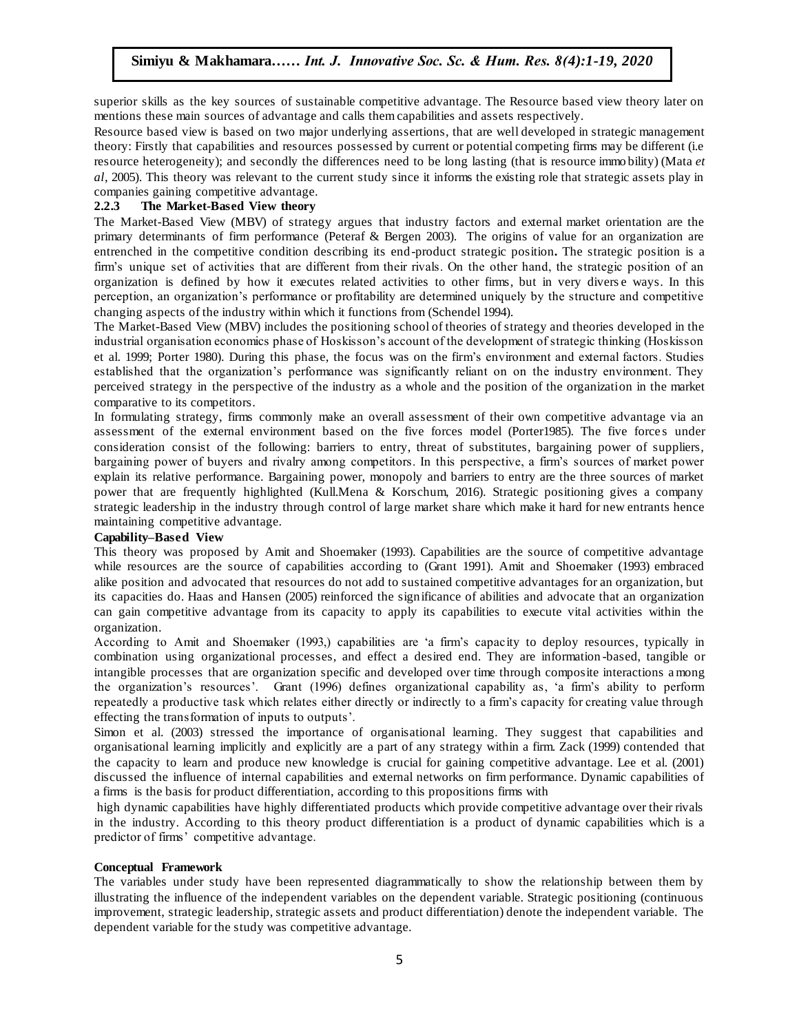superior skills as the key sources of sustainable competitive advantage. The Resource based view theory later on mentions these main sources of advantage and calls them capabilities and assets respectively.

matrices and the control of the called mangement can interest the matrix and assert to present of process. theory: Firstly that capabilities and resources possessed by current or potential competing firms may be different (i.e resource heterogeneity); and secondly the differences need to be long lasting (that is resource immo bility) (Mata *et al*, 2005). This theory was relevant to the current study since it informs the existing role that strategic assets play in companies gaining competitive advantage.

#### **2.2.3 The Market-Based View theory**

The Market-Based View (MBV) of strategy argues that industry factors and external market orientation are the primary determinants of firm performance (Peteraf & Bergen 2003). The origins of value for an organization are entrenched in the competitive condition describing its end-product strategic position**.** The strategic position is a firm's unique set of activities that are different from their rivals. On the other hand, the strategic position of an firm's organization is defined by how it executes related activities to other firms, but in very divers e ways. In this perception, an organization"s performance or profitability are determined uniquely by the structure and competitive changing aspects of the industry within which it functions from (Schendel 1994).

The Market-Based View (MBV) includes the positioning school of theories of strategy and theories developed in the industrial organisation economics phase of Hoskisson"s account of the development of strategic thinking (Hoskisson et al. 1999; Porter 1980). During this phase, the focus was on the firm"s environment and external factors. Studies established that the organization"s performance was significantly reliant on on the industry environment. They perceived strategy in the perspective of the industry as a whole and the position of the organization in the market comparative to its competitors.

In formulating strategy, firms commonly make an overall assessment of their own competitive advantage via an assessment of the external environment based on the five forces model (Porter1985). The five force s under consideration consist of the following: barriers to entry, threat of substitutes, bargaining power of suppliers, bargaining power of buyers and rivalry among competitors. In this perspective, a firm's sources of market power explain its relative performance. Bargaining power, monopoly and barriers to entry are the three sources of market power that are frequently highlighted (Kull.Mena & Korschum, 2016). Strategic positioning gives a company strategic leadership in the industry through control of large market share which make it hard for new entrants hence maintaining competitive advantage.<br>  $\widetilde{A}$  Workship Soc. Sc. 3(1):1-11, 2020

#### **Capability–Based View**

This theory was proposed by Amit and Shoemaker (1993). Capabilities are the source of competitive advantage while resources are the source of capabilities according to (Grant 1991). Amit and Shoemaker (1993) embraced alike position and advocated that resources do not add to sustained competitive advantages for an organization, but its capacities do. Haas and Hansen (2005) reinforced the significance of abilities and advocate that an organization can gain competitive advantage from its capacity to apply its capabilities to execute vital activities within the organization.

According to Amit and Shoemaker (1993,) capabilities are "a firm"s capacity to deploy resources, typically in combination using organizational processes, and effect a desired end. They are information -based, tangible or intangible processes that are organization specific and developed over time through composite interactions among the organization"s resources". Grant (1996) defines organizational capability as, "a firm"s ability to perform repeatedly a productive task which relates either directly or indirectly to a firm"s capacity for creating value through effecting the transformation of inputs to outputs".

Simon et al. (2003) stressed the importance of organisational learning. They suggest that capabilities and organisational learning implicitly and explicitly are a part of any strategy within a firm. Zack (1999) contended that the capacity to learn and produce new knowledge is crucial for gaining competitive advantage. Lee et al. (2001) discussed the influence of internal capabilities and external networks on firm performance. Dynamic capabilities of a firms is the basis for product differentiation, according to this propositions firms with

high dynamic capabilities have highly differentiated products which provide competitive advantage over their rivals in the industry. According to this theory product differentiation is a product of dynamic capabilities which is a predictor of firms" competitive advantage.

#### **Conceptual Framework**

The variables under study have been represented diagrammatically to show the relationship between them by illustrating the influence of the independent variables on the dependent variable. Strategic positioning (continuous improvement, strategic leadership, strategic assets and product differentiation) denote the independent variable. The dependent variable for the study was competitive advantage.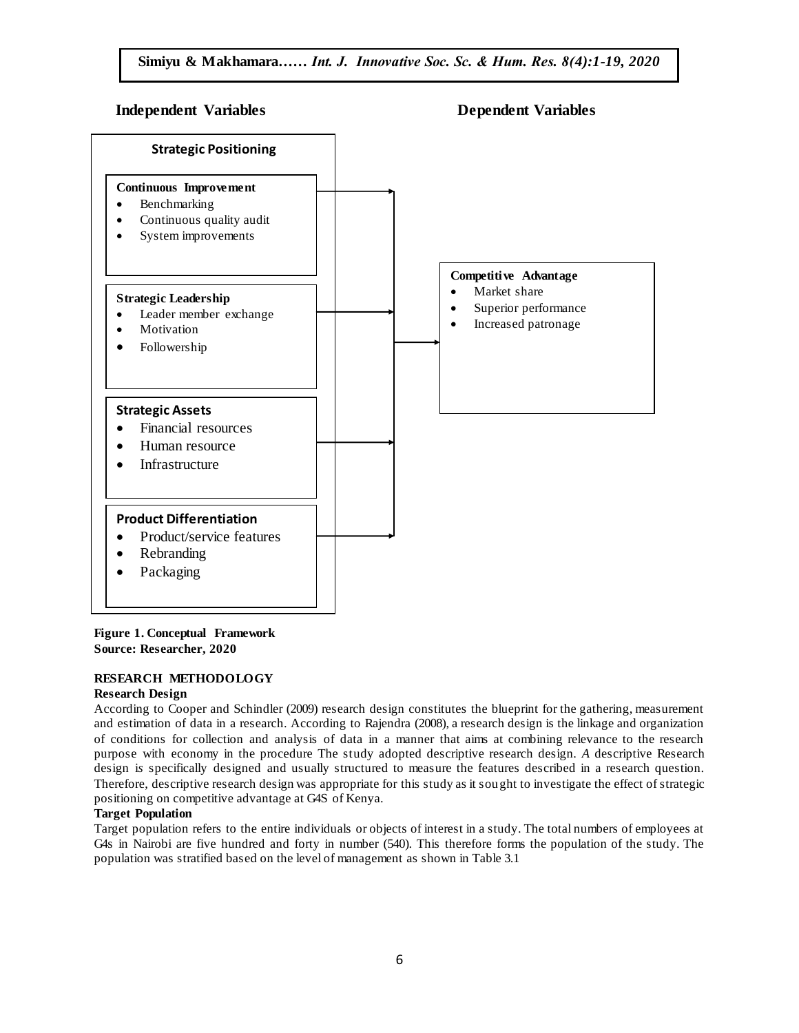### **Independent Variables Dependent Variables**



### **Figure 1. Conceptual Framework Source: Researcher, 2020**

### **RESEARCH METHODOLOGY**

### **Research Design**

According to Cooper and Schindler (2009) research design constitutes the blueprint for the gathering, measurement and estimation of data in a research. According to Rajendra (2008), a research design is the linkage and organization of conditions for collection and analysis of data in a manner that aims at combining relevance to the research purpose with economy in the procedure The study adopted descriptive research design. *A* descriptive Research design i*s* specifically designed and usually structured to measure the features described in a research question. Therefore, descriptive research design was appropriate for this study as it sought to investigate the effect of strategic positioning on competitive advantage at G4S of Kenya.

### **Target Population**

Target population refers to the entire individuals or objects of interest in a study. The total numbers of employees at G4s in Nairobi are five hundred and forty in number (540). This therefore forms the population of the study. The population was stratified based on the level of management as shown in Table 3.1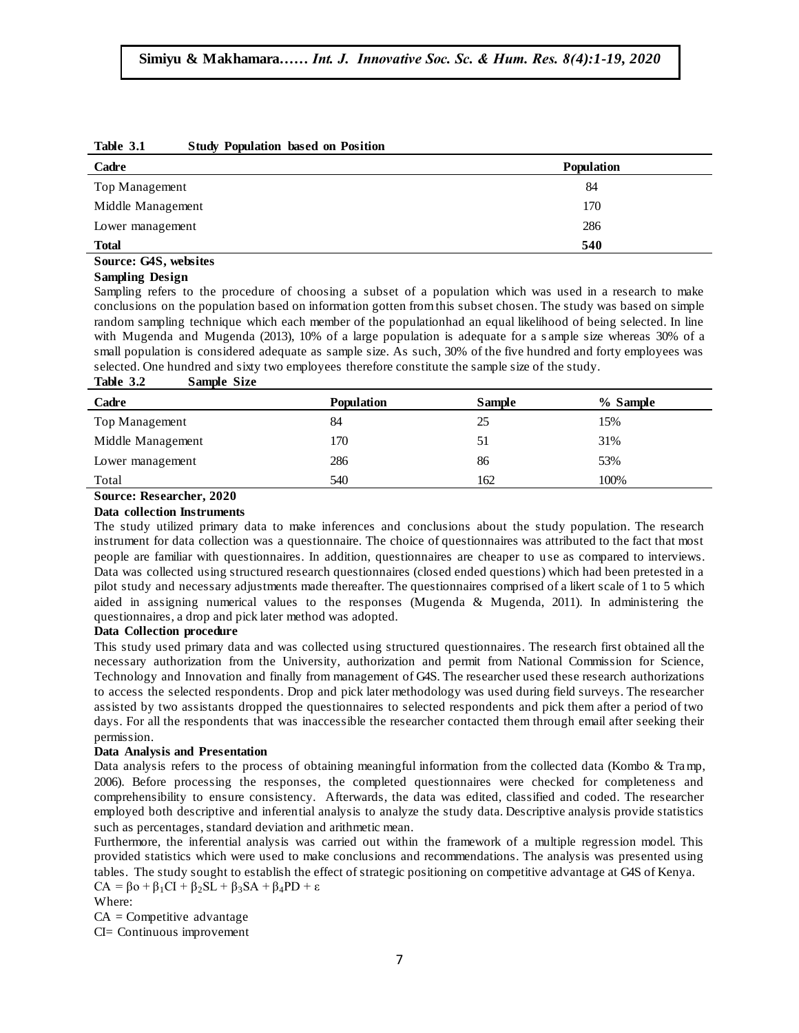| Cadre                 | <b>Population</b> |
|-----------------------|-------------------|
| Top Management        | 84                |
| Middle Management     | 170               |
| Lower management      | 286               |
| <b>Total</b>          | 540               |
| Source: G4S, websites |                   |

#### **Table 3.1 Study Population based on Position**

#### **Sampling Design**

Sampling refers to the procedure of choosing a subset of a population which was used in a research to make conclusions on the population based on information gotten from this subset chosen. The study was based on simple random sampling technique which each member of the populationhad an equal likelihood of being selected. In line with Mugenda and Mugenda (2013), 10% of a large population is adequate for a s ample size whereas 30% of a small population is considered adequate as sample size. As such, 30% of the five hundred and forty employees was selected. One hundred and sixty two employees therefore constitute the sample size of the study.

#### **Table 3.2 Sample Size**

| ***** <i>*</i><br><b>DEMINIVERS</b> |                   |               |          |  |
|-------------------------------------|-------------------|---------------|----------|--|
| Cadre                               | <b>Population</b> | <b>Sample</b> | % Sample |  |
| Top Management                      | 84                | 25            | 15%      |  |
| Middle Management                   | 170               | 51            | 31%      |  |
| Lower management                    | 286               | 86            | 53%      |  |
| Total                               | 540               | 162           | 100%     |  |

## **Source: Researcher, 2020**

### **Data collection Instruments**

The study utilized primary data to make inferences and conclusions about the study population. The research instrument for data collection was a questionnaire. The choice of questionnaires was attributed to the fact that most people are familiar with questionnaires. In addition, questionnaires are cheaper to u se as compared to interviews. Data was collected using structured research questionnaires (closed ended questions) which had been pretested in a pilot study and necessary adjustments made thereafter. The questionnaires comprised of a likert scale of 1 to 5 which aided in assigning numerical values to the responses (Mugenda & Mugenda, 2011). In administering the questionnaires, a drop and pick later method was adopted.

#### **Data Collection procedure**

This study used primary data and was collected using structured questionnaires. The research first obtained all the necessary authorization from the University, authorization and permit from National Commission for Science, Technology and Innovation and finally from management of G4S. The researcher used these research authorizations to access the selected respondents. Drop and pick later methodology was used during field surveys. The researcher assisted by two assistants dropped the questionnaires to selected respondents and pick them after a period of two days. For all the respondents that was inaccessible the researcher contacted them through email after seeking their permission.

#### **Data Analysis and Presentation**

Data analysis refers to the process of obtaining meaningful information from the collected data (Kombo & Tramp, 2006). Before processing the responses, the completed questionnaires were checked for completeness and comprehensibility to ensure consistency. Afterwards, the data was edited, classified and coded. The researcher employed both descriptive and inferential analysis to analyze the study data. Descriptive analysis provide statistics such as percentages, standard deviation and arithmetic mean.

Furthermore, the inferential analysis was carried out within the framework of a multiple regression model. This provided statistics which were used to make conclusions and recommendations. The analysis was presented using tables. The study sought to establish the effect of strategic positioning on competitive advantage at G4S of Kenya.  $CA = \beta_0 + \beta_1 CI + \beta_2 SL + \beta_3 SA + \beta_4 PD + \varepsilon$ 

Where:

 $CA =$ Competitive advantage

CI= Continuous improvement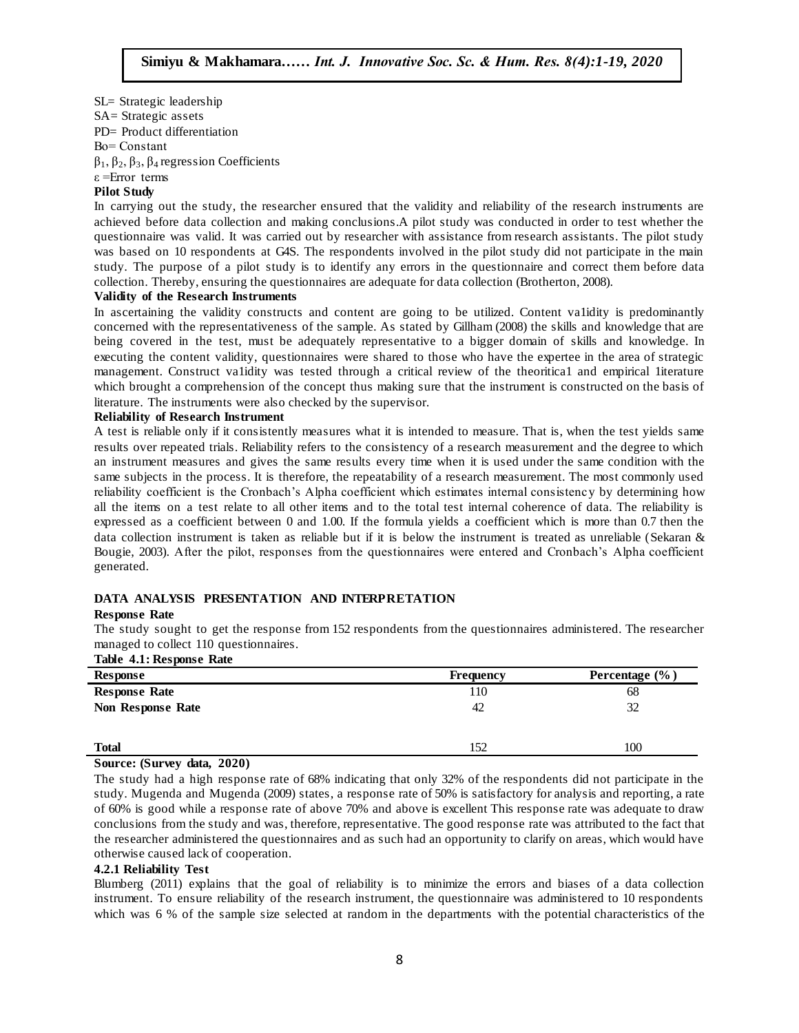SL= Strategic leadership SA= Strategic assets PD= Product differentiation Βо= Constant β1, β2, β3, β4 regression Coefficients ε =Error terms

#### **Pilot Study**

In carrying out the study, the researcher ensured that the validity and reliability of the research instruments are achieved before data collection and making conclusions.A pilot study was conducted in order to test whether the questionnaire was valid. It was carried out by researcher with assistance from research assistants. The pilot study was based on 10 respondents at G4S. The respondents involved in the pilot study did not participate in the main study. The purpose of a pilot study is to identify any errors in the questionnaire and correct them before data  $\frac{1}{2}$ . collection. Thereby, ensuring the questionnaires are adequate for data collection (Brotherton, 2008).  $\mathbf{H}$ 

#### **Validity of the Research Instruments**

In ascertaining the validity constructs and content are going to be utilized. Content va1idity is predominantly concerned with the representativeness of the sample. As stated by Gillham (2008) the skills and knowledge that are being covered in the test, must be adequately representative to a bigger domain of skills and knowledge. In executing the content validity, questionnaires were shared to those who have the expertee in the area of strategic management. Construct va1idity was tested through a critical review of the theoritica1 and empirical 1iterature which brought a comprehension of the concept thus making sure that the instrument is constructed on the basis of which biought a comprenension of the concept thus having sure that the instrument is<br>literature. The instruments were also checked by the supervisor.

#### **Reliability of Research Instrument**

A test is reliable only if it consistently measures what it is intended to measure. That is, when the test yields same results over repeated trials. Reliability refers to the consistency of a research measurement and the degree to which an instrument measures and gives the same results every time when it is used under the same condition with the same subjects in the process. It is therefore, the repeatability of a research measurement. The most commonly used reliability coefficient is the Cronbach"s Alpha coefficient which estimates internal consistency by determining how all the items on a test relate to all other items and to the total test internal coherence of data. The reliability is expressed as a coefficient between 0 and 1.00. If the formula yields a coefficient which is more than 0.7 then the  $\frac{1}{2}$ data collection instrument is taken as reliable but if it is below the instrument is treated as unreliable (Sekaran & Bougie, 2003). After the pilot, responses from the questionnaires were entered and Cronbach"s Alpha coefficient generated.

#### **DATA ANALYSIS PRESENTATION AND INTERPRETATION**

#### **Response Rate**

The study sought to get the response from 152 respondents from the questionnaires administered. The researcher managed to collect 110 questionnaires.

#### **Table 4.1: Response Rate**

| Response             | Frequency | Percentage $(\% )$ |
|----------------------|-----------|--------------------|
| <b>Response Rate</b> | 110       | 68                 |
| Non Response Rate    | 42        | 32                 |
|                      |           |                    |
| <b>Total</b>         | 152       | 100                |

#### **Source: (Survey data, 2020)**

The study had a high response rate of 68% indicating that only 32% of the respondents did not participate in the study. Mugenda and Mugenda (2009) states, a response rate of 50% is satisfactory for analysis and reporting, a rate of 60% is good while a response rate of above 70% and above is excellent This response rate was adequate to draw conclusions from the study and was, therefore, representative. The good response rate was attributed to the fact that the researcher administered the questionnaires and as such had an opportunity to clarify on areas, which would have otherwise caused lack of cooperation.

#### **4.2.1 Reliability Test**

Blumberg (2011) explains that the goal of reliability is to minimize the errors and biases of a data collection instrument. To ensure reliability of the research instrument, the questionnaire was administered to 10 respondents which was 6 % of the sample size selected at random in the departments with the potential characteristics of the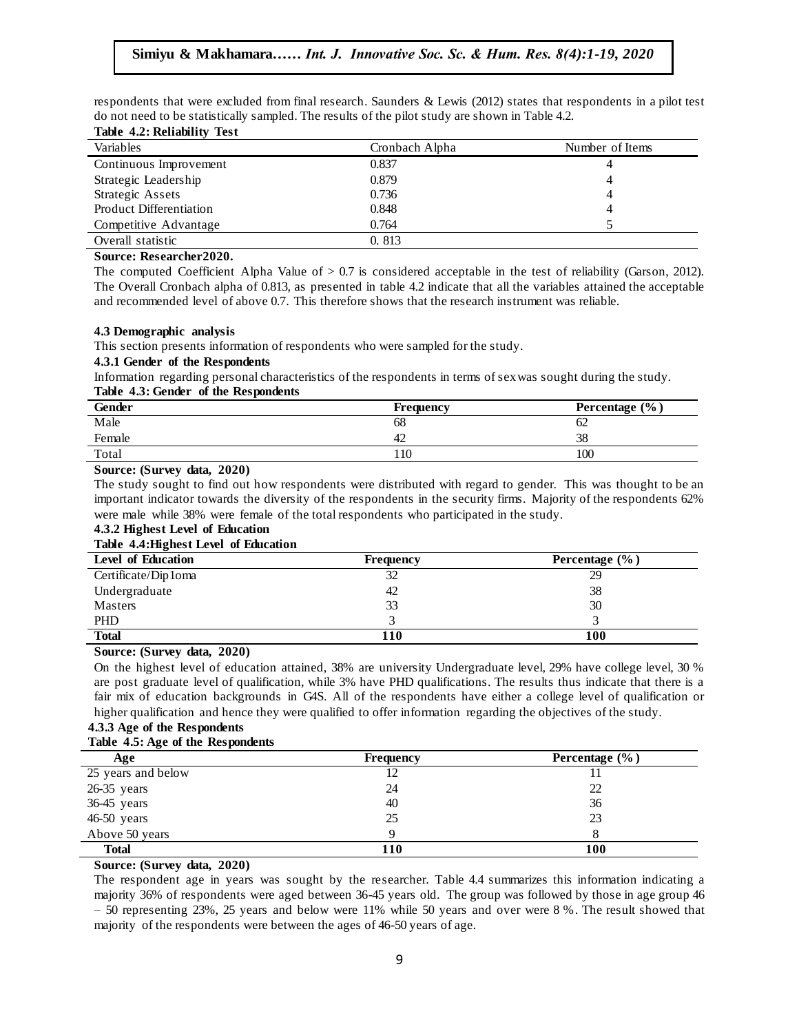respondents that were excluded from final research. Saunders & Lewis (2012) states that respondents in a pilot test do not need to be statistically sampled. The results of the pilot study are shown in Table 4.2.

|  | Table 4.2: Reliability Test |  |
|--|-----------------------------|--|
|  |                             |  |

| Variables               | Cronbach Alpha | Number of Items |
|-------------------------|----------------|-----------------|
| Continuous Improvement  | 0.837          |                 |
| Strategic Leadership    | 0.879          |                 |
| Strategic Assets        | 0.736          |                 |
| Product Differentiation | 0.848          |                 |
| Competitive Advantage   | 0.764          |                 |
| Overall statistic       | 0.813          |                 |

### **Source:** Researcher2020.

The computed Coefficient Alpha Value of  $> 0.7$  is considered acceptable in the test of reliability (Garson, 2012). The Overall Cronbach alpha of 0.813, as presented in table 4.2 indicate that all the variables attained the acceptable and recommended level of above 0.7. This therefore shows that the research instrument was reliable.

#### **4.3 Demographic analysis**  $A_{\rm{max}}$  ,  $A_{\rm{max}}$  ,  $A_{\rm{max}}$  ,  $A_{\rm{max}}$  ,  $A_{\rm{max}}$  ,  $A_{\rm{max}}$  ,  $A_{\rm{max}}$  ,  $A_{\rm{max}}$

This section presents information of respondents who were sampled for the study.

#### **4.3.1 Gender of the Respondents**

Information regarding personal characteristics of the respondents in terms of sex was sought during the study. Table 4.3: Gender of the Respondents

| <b>Gender</b> | <b>Frequency</b> | Percentage (%) |
|---------------|------------------|----------------|
| Male          | 68               | OΖ             |
| Female        | 42               | 38             |
| Total         | 110              | 100            |

#### **Source: (Survey data, 2020)**

The study sought to find out how respondents were distributed with regard to gender. This was thought to be an important indicator towards the diversity of the respondents in the security firms. Majority of the respondents 62% were male while 38% were female of the total respondents who participated in the study.

### **4.3.2 Highest Level of Education**

#### **Table 4.4:Highest Level of Education**

| ີ<br>Level of Education | <b>Frequency</b> | Percentage $(\% )$ |
|-------------------------|------------------|--------------------|
| Certificate/Dip1oma     | 32               | 29                 |
| Undergraduate           | 42               | 38                 |
| Masters                 | 33               | 30                 |
| PHD                     |                  |                    |
| <b>Total</b>            | 110              | 100                |

#### **Source: (Survey data, 2020)**

On the highest level of education attained, 38% are university Undergraduate level, 29% have college level, 30 % are post graduate level of qualification, while 3% have PHD qualifications. The results thus indicate that there is a fair mix of education backgrounds in G4S. All of the respondents have either a college level of qualification or higher qualification and hence they were qualified to offer information regarding the objectives of the study.

### **4.3.3 Age of the Respondents**

#### **Table 4.5: Age of the Respondents**

| . .<br>Age         | <b>Frequency</b> | Percentage (%) |
|--------------------|------------------|----------------|
| 25 years and below | 12               |                |
| $26-35$ years      | 24               | 22             |
| 36-45 years        | 40               | 36             |
| $46-50$ years      | 25               | 23             |
| Above 50 years     |                  |                |
| <b>Total</b>       | 110              | 100            |

#### **Source: (Survey data, 2020)**

The respondent age in years was sought by the researcher. Table 4.4 summarizes this information indicating a majority 36% of respondents were aged between 36-45 years old. The group was followed by those in age group 46 – 50 representing 23%, 25 years and below were 11% while 50 years and over were 8 %. The result showed that majority of the respondents were between the ages of 46-50 years of age.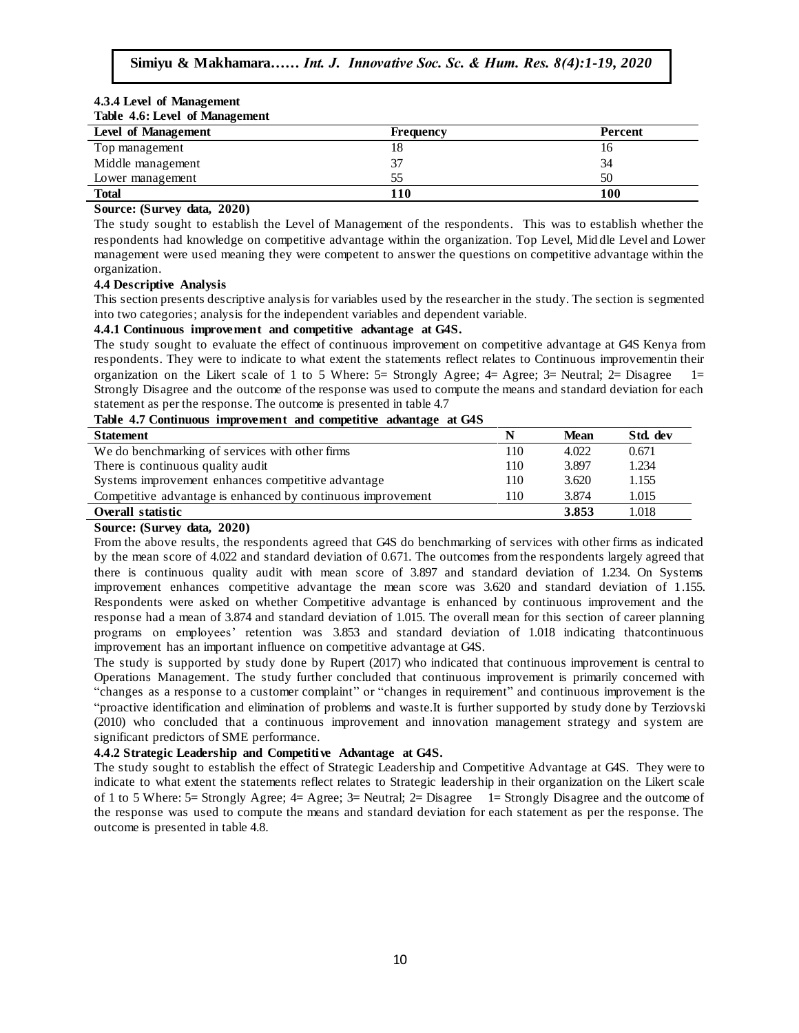#### **4.3.4 Level of Management Table 4.6: Level of Management**

| <b>Level of Management</b> | Frequency | Percent |
|----------------------------|-----------|---------|
| Top management             |           | Ιb      |
| Middle management          |           | 34      |
| Lower management           | 55        | 50      |
| <b>Total</b>               | 110       | 100     |

#### **Source: (Survey data, 2020)**

The study sought to establish the Level of Management of the respondents. This was to establish whether the respondents had knowledge on competitive advantage within the organization. Top Level, Mid dle Level and Lower management were used meaning they were competent to answer the questions on competitive advantage within the croanization organization.

#### **4.4 Descriptive Analysis**

This section presents descriptive analysis for variables used by the researcher in the study. The section is segmented into two categories; analysis for the independent variables and dependent variable.

#### 4.4.1 Continuous improvement and competitive advantage at G4S.

The study sought to evaluate the effect of continuous improvement on competitive advantage at G4S Kenya from respondents. They were to indicate to what extent the statements reflect relates to Continuous improvementin their organization on the Likert scale of 1 to 5 Where:  $5=$  Strongly Agree;  $4=$  Agree;  $3=$  Neutral;  $2=$  Disagree 1= Strongly Disagree and the outcome of the response was used to compute the means and standard deviation for each Strongly Disagree and the outcome of the response was used to compute the means and statement as per the response. The outcome is presented in table 4.7

#### **Table 4.7 Continuous improvement and competitive advantage at G4S**

| ້                                                           |     |             |          |
|-------------------------------------------------------------|-----|-------------|----------|
| <b>Statement</b>                                            | N   | <b>Mean</b> | Std. dev |
| We do benchmarking of services with other firms             | 110 | 4.022       | 0.671    |
| There is continuous quality audit                           | 110 | 3.897       | 1.234    |
| Systems improvement enhances competitive advantage          | 110 | 3.620       | 1.155    |
| Competitive advantage is enhanced by continuous improvement | 110 | 3.874       | 1.015    |
| Overall statistic                                           |     | 3.853       | 1.018    |

## **Source: (Survey data, 2020)**

From the above results, the respondents agreed that G4S do benchmarking of services with other firms as indicated by the mean score of 4.022 and standard deviation of 0.671. The outcomes from the respondents largely agreed that there is continuous quality audit with mean score of 3.897 and standard deviation of 1.234. On Systems improvement enhances competitive advantage the mean score was 3.620 and standard deviation of 1.155. Respondents were asked on whether Competitive advantage is enhanced by continuous improvement and the response had a mean of 3.874 and standard deviation of 1.015. The overall mean for this section of career planning programs on employees" retention was 3.853 and standard deviation of 1.018 indicating thatcontinuous improvement has an important influence on competitive advantage at G4S.

The study is supported by study done by Rupert (2017) who indicated that continuous improvement is central to Operations Management. The study further concluded that continuous improvement is primarily concerned with "changes as a response to a customer complaint" or "changes in requirement" and continuous improvement is the "proactive identification and elimination of problems and waste.It is further supported by study done by Terziovski (2010) who concluded that a continuous improvement and innovation management strategy and system are significant predictors of SME performance.

### **4.4.2 Strategic Leadership and Competitive Advantage at G4S.**

The study sought to establish the effect of Strategic Leadership and Competitive Advantage at G4S. They were to indicate to what extent the statements reflect relates to Strategic leadership in their organization on the Likert scale of 1 to 5 Where: 5= Strongly Agree; 4= Agree; 3= Neutral; 2= Disagree 1= Strongly Disagree and the outcome of the response was used to compute the means and standard deviation for each statement as per the response. The outcome is presented in table 4.8.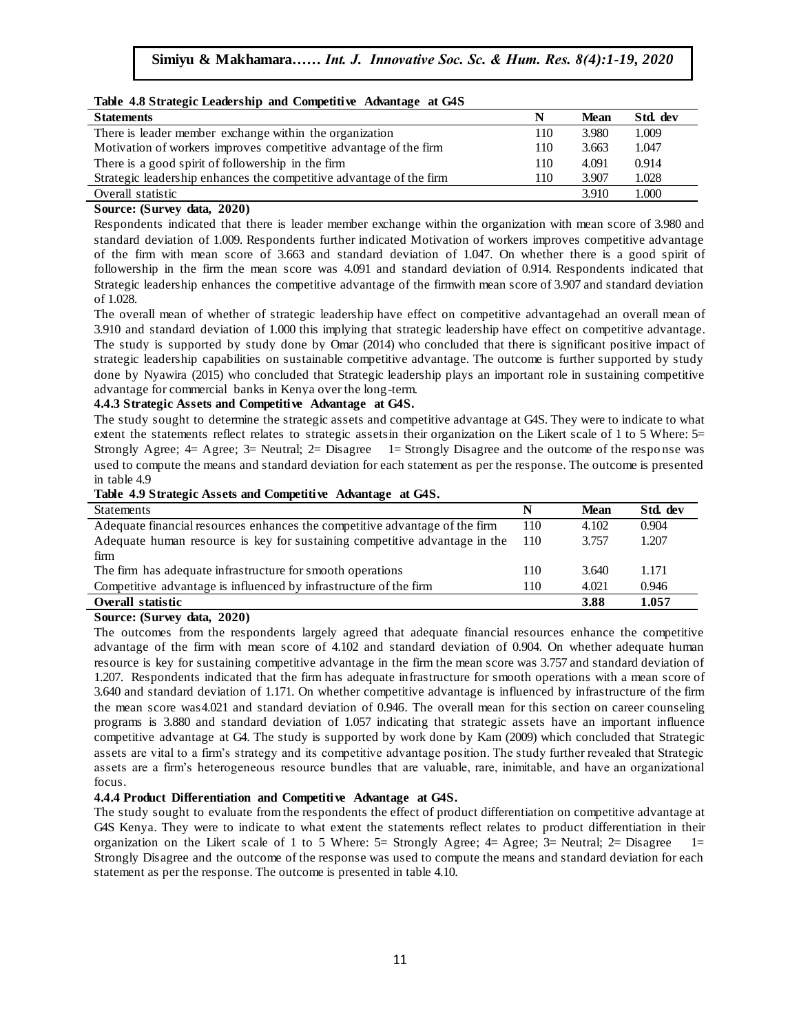| Table 4.8 Strategic Leadership and Competitive Advantage at G4S     |     |             |          |
|---------------------------------------------------------------------|-----|-------------|----------|
| <b>Statements</b>                                                   |     | <b>Mean</b> | Std. dev |
| There is leader member exchange within the organization             | 110 | 3.980       | 1.009    |
| Motivation of workers improves competitive advantage of the firm    | 110 | 3.663       | 1.047    |
| There is a good spirit of followership in the firm                  | 110 | 4.091       | 0.914    |
| Strategic leadership enhances the competitive advantage of the firm | 110 | 3.907       | 1.028    |
| Overall statistic                                                   |     | 3.910       | 1.000    |

#### **Table 4.8 Strategic Leadership and Competitive Advantage at G4S**

#### **Source: (Survey data, 2020)**

Respondents indicated that there is leader member exchange within the organization with mean score of 3.980 and standard deviation of 1.009. Respondents further indicated Motivation of workers improves competitive advantage of the firm with mean score of 3.663 and standard deviation of 1.047. On whether there is a good spirit of  $\frac{1}{2}$ . followership in the firm the mean score was 4.091 and standard deviation of 0.914. Respondents indicated that Strategic leadership enhances the competitive advantage of the firmwith mean score of 3.907 and standard deviation of 1.028.

The overall mean of whether of strategic leadership have effect on competitive advantagehad an overall mean of 3.910 and standard deviation of 1.000 this implying that strategic leadership have effect on competitive advantage. The study is supported by study done by Omar (2014) who concluded that there is significant positive impact of strategic leadership capabilities on sustainable competitive advantage. The outcome is further supported by study done by Nyawira (2015) who concluded that Strategic leadership plays an important role in sustaining competitive advantage for commercial banks in Kenya over the long-term.

#### **4.4.3 Strategic Assets and Competitive Advantage at G4S.**

The study sought to determine the strategic assets and competitive advantage at G4S. They were to indicate to what extent the statements reflect relates to strategic assetsin their organization on the Likert scale of 1 to 5 Where: 5= Strongly Agree;  $4=$  Agree;  $3=$  Neutral;  $2=$  Disagree 1= Strongly Disagree and the outcome of the response was used to compute the means and standard deviation for each statement as per the response. The outcome is presented used to compute the means and standard deviation for each statement as per the response. The outcome is pres in table 4.9

#### **Table 4.9 Strategic Assets and Competitive Advantage at G4S.**

| Statements                                                                  | N   | Mean  | Std. dev |
|-----------------------------------------------------------------------------|-----|-------|----------|
| Adequate financial resources enhances the competitive advantage of the firm | 110 | 4.102 | 0.904    |
| Adequate human resource is key for sustaining competitive advantage in the  | 110 | 3.757 | 1.207    |
| firm                                                                        |     |       |          |
| The firm has adequate infrastructure for smooth operations                  | 110 | 3.640 | 1.171    |
| Competitive advantage is influenced by infrastructure of the firm           | 110 | 4.021 | 0.946    |
| Overall statistic                                                           |     | 3.88  | 1.057    |

#### **Source: (Survey data, 2020)**

The outcomes from the respondents largely agreed that adequate financial resources enhance the competitive advantage of the firm with mean score of 4.102 and standard deviation of 0.904. On whether adequate human resource is key for sustaining competitive advantage in the firm the mean score was 3.757 and standard deviation of 1.207. Respondents indicated that the firm has adequate infrastructure for smooth operations with a mean score of 3.640 and standard deviation of 1.171. On whether competitive advantage is influenced by infrastructure of the firm the mean score was4.021 and standard deviation of 0.946. The overall mean for this section on career counseling programs is 3.880 and standard deviation of 1.057 indicating that strategic assets have an important influence competitive advantage at G4. The study is supported by work done by Kam (2009) which concluded that Strategic assets are vital to a firm"s strategy and its competitive advantage position. The study further revealed that Strategic assets are a firm"s heterogeneous resource bundles that are valuable, rare, inimitable, and have an organizational focus.

#### **4.4.4 Product Differentiation and Competitive Advantage at G4S.**

The study sought to evaluate from the respondents the effect of product differentiation on competitive advantage at G4S Kenya. They were to indicate to what extent the statements reflect relates to product differentiation in their organization on the Likert scale of 1 to 5 Where:  $5=$  Strongly Agree;  $4=$  Agree;  $3=$  Neutral;  $2=$  Disagree 1= Strongly Disagree and the outcome of the response was used to compute the means and standard deviation for each statement as per the response. The outcome is presented in table 4.10.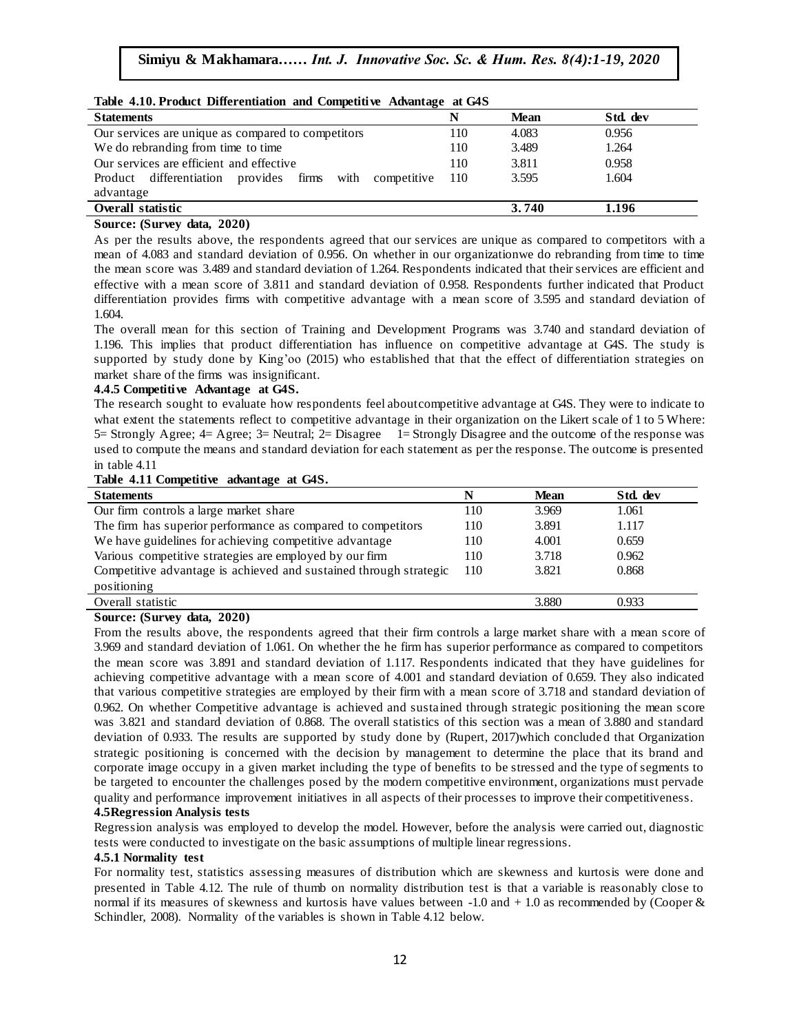| Table 4.10. Product Differentiation and Competitive Advantage at G4S |     |             |          |  |  |  |  |  |
|----------------------------------------------------------------------|-----|-------------|----------|--|--|--|--|--|
| <b>Statements</b>                                                    |     | <b>Mean</b> | Std. dev |  |  |  |  |  |
| Our services are unique as compared to competitors                   | 10  | 4.083       | 0.956    |  |  |  |  |  |
| We do rebranding from time to time                                   | 110 | 3.489       | 1.264    |  |  |  |  |  |
| Our services are efficient and effective                             | 110 | 3.811       | 0.958    |  |  |  |  |  |
| Product differentiation provides firms<br>with<br>competitive        | 110 | 3.595       | 1.604    |  |  |  |  |  |
| advantage                                                            |     |             |          |  |  |  |  |  |
| Overall statistic<br>3.740<br>1.196                                  |     |             |          |  |  |  |  |  |

#### **Table 4.10. Product Differentiation and Competitive Advantage at G4S**

### **Source: (Survey data, 2020)**

As per the results above, the respondents agreed that our services are unique as compared to competitors with a mean of 4.083 and standard deviation of 0.956. On whether in our organizationwe do rebranding from time to time<br>
and the social state of 1.2021. But the state of 1.2021. But the state of the state of the state of the state the mean score was 3.489 and standard deviation of 1.264. Respondents indicated that their services are efficient and effective with a mean score of 3.811 and standard deviation of 0.958. Respondents further indicated that Product differentiation provides firms with competitive advantage with a mean score of 3.595 and standard deviation of 1.604.

The overall mean for this section of Training and Development Programs was 3.740 and standard deviation of 1.196. This implies that product differentiation has influence on competitive advantage at G4S. The study is supported by study done by King"oo (2015) who established that that the effect of differentiation strategies on market share of the firms was insignificant.

#### **4.4.5 Competitive Advantage at G4S.**  $\blacksquare$  Impetitive Advantage at G4S.

The research sought to evaluate how respondents feel aboutcompetitive advantage at G4S. They were to indicate to what extent the statements reflect to competitive advantage in their organization on the Likert scale of 1 to 5 Where: 5= Strongly Agree; 4= Agree; 3= Neutral; 2= Disagree 1= Strongly Disagree and the outcome of the response was used to compute the means and standard deviation for each statement as per the response. The outcome is presented<br>in table 4.11 in table 4.11

#### **Table 4.11 Competitive advantage at G4S.**

| <b>Statements</b>                                                 | N   | <b>Mean</b> | Std. dev |
|-------------------------------------------------------------------|-----|-------------|----------|
| Our firm controls a large market share                            | 110 | 3.969       | 1.061    |
| The firm has superior performance as compared to competitors      | 110 | 3.891       | 1.117    |
| We have guidelines for achieving competitive advantage            | 110 | 4.001       | 0.659    |
| Various competitive strategies are employed by our firm           | 110 | 3.718       | 0.962    |
| Competitive advantage is achieved and sustained through strategic | 110 | 3.821       | 0.868    |
| positioning                                                       |     |             |          |
| Overall statistic                                                 |     | 3.880       | 0.933    |
|                                                                   |     |             |          |

#### **Source: (Survey data, 2020)**

From the results above, the respondents agreed that their firm controls a large market share with a mean score of 3.969 and standard deviation of 1.061. On whether the he firm has superior performance as compared to competitors the mean score was 3.891 and standard deviation of 1.117. Respondents indicated that they have guidelines for achieving competitive advantage with a mean score of 4.001 and standard deviation of 0.659. They also indicated that various competitive strategies are employed by their firm with a mean score of 3.718 and standard deviation of 0.962. On whether Competitive advantage is achieved and sustained through strategic positioning the mean score was 3.821 and standard deviation of 0.868. The overall statistics of this section was a mean of 3.880 and standard deviation of 0.933. The results are supported by study done by (Rupert, 2017)which conclude d that Organization strategic positioning is concerned with the decision by management to determine the place that its brand and corporate image occupy in a given market including the type of benefits to be stressed and the type of segments to be targeted to encounter the challenges posed by the modern competitive environment, organizations must pervade quality and performance improvement initiatives in all aspects of their processes to improve their competitiveness. **4.5Regression Analysis tests**

Regression analysis was employed to develop the model. However, before the analysis were carried out, diagnostic tests were conducted to investigate on the basic assumptions of multiple linear regressions.

#### **4.5.1 Normality test**

For normality test, statistics assessing measures of distribution which are skewness and kurtosis were done and presented in Table 4.12. The rule of thumb on normality distribution test is that a variable is reasonably close to normal if its measures of skewness and kurtosis have values between  $-1.0$  and  $+1.0$  as recommended by (Cooper  $\&$ Schindler, 2008). Normality of the variables is shown in Table 4.12 below.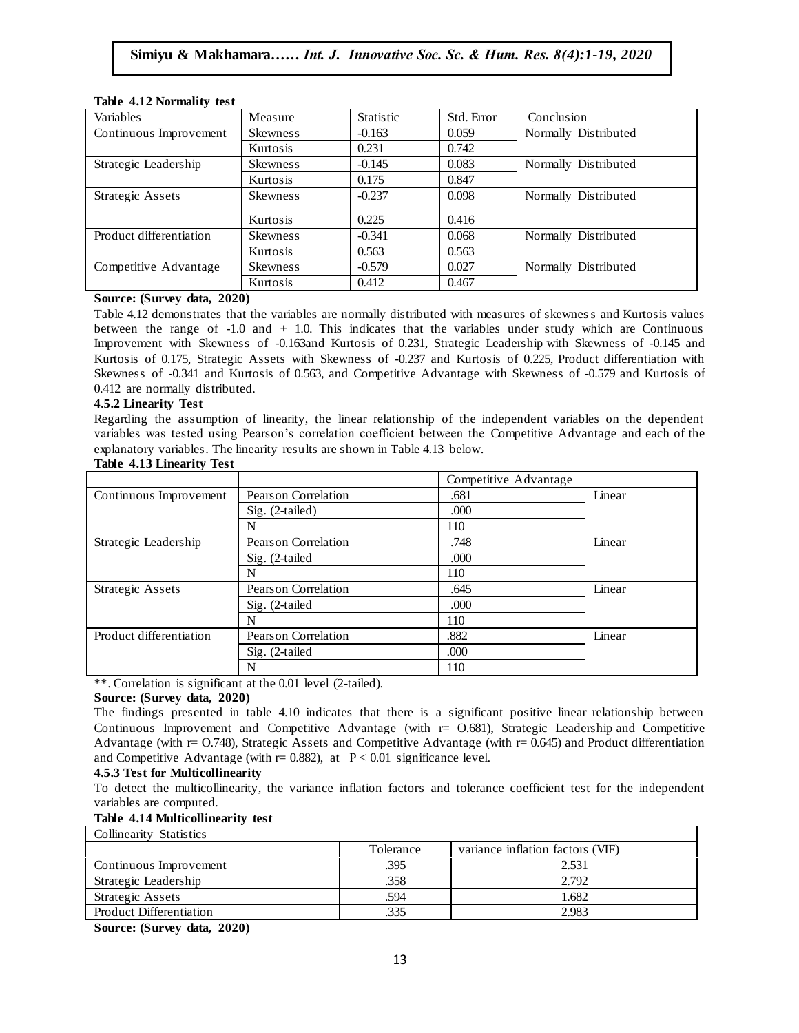| Variables               | Measure         | <b>Statistic</b> | Std. Error | Conclusion           |
|-------------------------|-----------------|------------------|------------|----------------------|
| Continuous Improvement  | <b>Skewness</b> | $-0.163$         | 0.059      | Normally Distributed |
|                         | Kurtosis        | 0.231            | 0.742      |                      |
| Strategic Leadership    | <b>Skewness</b> | $-0.145$         | 0.083      | Normally Distributed |
|                         | Kurtosis        | 0.175            | 0.847      |                      |
| <b>Strategic Assets</b> | <b>Skewness</b> | $-0.237$         | 0.098      | Normally Distributed |
|                         | Kurtosis        | 0.225            | 0.416      |                      |
| Product differentiation | <b>Skewness</b> | $-0.341$         | 0.068      | Normally Distributed |
|                         | Kurtosis        | 0.563            | 0.563      |                      |
| Competitive Advantage   | <b>Skewness</b> | $-0.579$         | 0.027      | Normally Distributed |
|                         | Kurtosis        | 0.412            | 0.467      |                      |

#### **Table 4.12 Normality test**

#### **Source: (Survey data, 2020)**

Table 4.12 demonstrates that the variables are normally distributed with measures of skewness and Kurtosis values rable 4.12 demonstrates that the variables are normally distributed with heasures of skewifess and Kurtosis values<br>between the range of -1.0 and + 1.0. This indicates that the variables under study which are Continuous Improvement with Skewness of -0.163and Kurtosis of 0.231, Strategic Leadership with Skewness of -0.145 and Kurtosis of 0.175, Strategic Assets with Skewness of -0.237 and Kurtosis of 0.225, Product differentiation with Skewness of -0.341 and Kurtosis of 0.563, and Competitive Advantage with Skewness of -0.579 and Kurtosis of 0.412 are normally distributed.

#### **4.5.2 Linearity Test**

Regarding the assumption of linearity, the linear relationship of the independent variables on the dependent variables was tested using Pearson"s correlation coefficient between the Competitive Advantage and each of the explanatory variables. The linearity results are shown in Table 4.13 below.<br> $\mathbb{R}^{11}$ 

|                         |                     | Competitive Advantage |        |
|-------------------------|---------------------|-----------------------|--------|
| Continuous Improvement  | Pearson Correlation | .681                  | Linear |
|                         | Sig. (2-tailed)     | .000                  |        |
|                         | N                   | 110                   |        |
| Strategic Leadership    | Pearson Correlation | .748                  | Linear |
|                         | Sig. (2-tailed      | .000                  |        |
|                         | N                   | 110                   |        |
| Strategic Assets        | Pearson Correlation | .645                  | Linear |
|                         | Sig. (2-tailed      | .000                  |        |
|                         | N                   | 110                   |        |
| Product differentiation | Pearson Correlation | .882                  | Linear |
|                         | Sig. (2-tailed      | .000                  |        |
|                         | N                   | 110                   |        |

#### **Table 4.13 Linearity Test**

\*\*. Correlation is significant at the 0.01 level (2-tailed).

#### **Source: (Survey data, 2020)**

The findings presented in table 4.10 indicates that there is a significant positive linear relationship between Continuous Improvement and Competitive Advantage (with  $r = 0.681$ ), Strategic Leadership and Competitive Advantage (with  $r = 0.748$ ), Strategic Assets and Competitive Advantage (with  $r = 0.645$ ) and Product differentiation and Competitive Advantage (with  $r = 0.882$ ), at  $P < 0.01$  significance level.

### **4.5.3 Test for Multicollinearity**

To detect the multicollinearity, the variance inflation factors and tolerance coefficient test for the independent variables are computed.

### **Table 4.14 Multicollinearity test**

| <b>Collinearity Statistics</b> |           |                                  |  |  |  |  |  |
|--------------------------------|-----------|----------------------------------|--|--|--|--|--|
|                                | Tolerance | variance inflation factors (VIF) |  |  |  |  |  |
| Continuous Improvement         | .395      | 2.531                            |  |  |  |  |  |
| Strategic Leadership           | .358      | 2.792                            |  |  |  |  |  |
| <b>Strategic Assets</b>        | .594      | 1.682                            |  |  |  |  |  |
| Product Differentiation        | 335       | 2.983                            |  |  |  |  |  |

**Source: (Survey data, 2020)**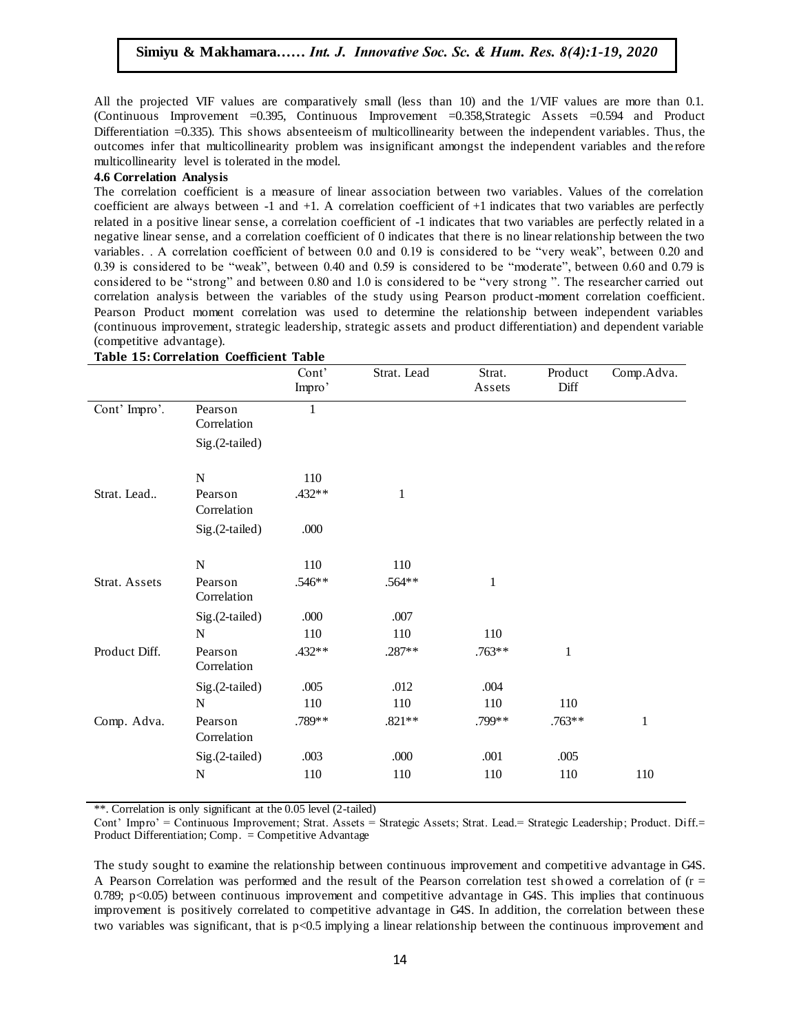All the projected VIF values are comparatively small (less than 10) and the 1/VIF values are more than 0.1. (Continuous Improvement = 0.395, Continuous Improvement = 0.358, Strategic Assets = 0.594 and Product Differentiation =0.335). This shows absenteeism of multicollinearity between the independent variables. Thus, the outcomes infer that multicollinearity problem was insignificant amongst the independent variables and the refore multicollinearity level is tolerated in the model.

#### **4.6 Correlation Analysis**

when correlation coefficient is a measure of linear association between two variables. Values of the correlation  $\alpha$ coefficient are always between  $-1$  and  $+1$ . A correlation coefficient of  $+1$  indicates that two variables are perfectly related in a positive linear sense, a correlation coefficient of -1 indicates that two variables are perfectly related in a negative linear sense, and a correlation coefficient of 0 indicates that there is no linear relationship between the two variables. A correlation coefficient of between 0.0 and 0.19 is considered to be "very weak", between 0.20 and 0.39 is considered to be "weak", between 0.40 and 0.59 is considered to be "moderate", between 0.60 and 0.79 is considered to be "strong" and between 0.80 and 1.0 is considered to be "very strong ". The researcher carried out correlation analysis between the variables of the study using Pearson product-moment correlation coefficient. Pearson Product moment correlation was used to determine the relationship between independent variables rearson rroduct moment correlation was used to determine the relationship between independent variables<br>(continuous improvement, strategic leadership, strategic assets and product differentiation) and dependent variable (competitive advantage).

|               |                        | Cont'<br>Impro' | Strat. Lead  | Strat.<br>Assets | Product<br>Diff | Comp.Adva.   |
|---------------|------------------------|-----------------|--------------|------------------|-----------------|--------------|
| Cont' Impro'. | Pearson<br>Correlation | 1               |              |                  |                 |              |
|               | Sig.(2-tailed)         |                 |              |                  |                 |              |
|               | N                      | 110             |              |                  |                 |              |
| Strat. Lead   | Pearson<br>Correlation | .432**          | $\mathbf{1}$ |                  |                 |              |
|               | Sig.(2-tailed)         | .000            |              |                  |                 |              |
|               | ${\bf N}$              | 110             | 110          |                  |                 |              |
| Strat. Assets | Pearson<br>Correlation | .546**          | .564**       | $\mathbf{1}$     |                 |              |
|               | Sig.(2-tailed)         | .000            | .007         |                  |                 |              |
|               | N                      | 110             | 110          | 110              |                 |              |
| Product Diff. | Pearson<br>Correlation | $.432**$        | .287**       | $.763**$         | $\mathbf{1}$    |              |
|               | Sig.(2-tailed)         | .005            | .012         | .004             |                 |              |
|               | $\mathbf N$            | 110             | 110          | 110              | 110             |              |
| Comp. Adva.   | Pearson<br>Correlation | .789**          | $.821**$     | .799**           | $.763**$        | $\mathbf{1}$ |
|               | Sig.(2-tailed)         | .003            | .000         | .001             | .005            |              |
|               | $\mathbf N$            | 110             | 110          | 110              | 110             | 110          |

**Table 15: Correlation Coefficient Table**

\*\*. Correlation is only significant at the 0.05 level (2-tailed)

Cont' Impro' = Continuous Improvement; Strat. Assets = Strategic Assets; Strat. Lead.= Strategic Leadership; Product. Diff.= Product Differentiation; Comp. = Competitive Advantage

The study sought to examine the relationship between continuous improvement and competitive advantage in G4S. A Pearson Correlation was performed and the result of the Pearson correlation test showed a correlation of  $(r =$ 0.789;  $p<0.05$ ) between continuous improvement and competitive advantage in G4S. This implies that continuous improvement is positively correlated to competitive advantage in G4S. In addition, the correlation between these two variables was significant, that is p<0.5 implying a linear relationship between the continuous improvement and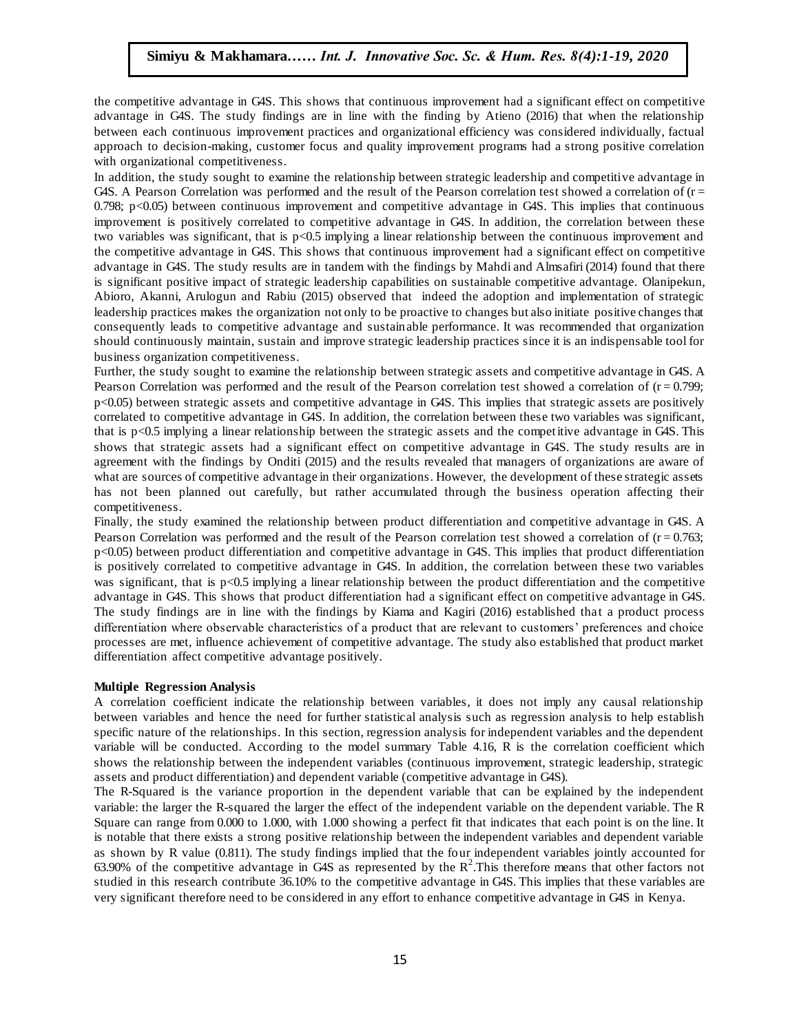the competitive advantage in G4S. This shows that continuous improvement had a significant effect on competitive advantage in G4S. The study findings are in line with the finding by Atieno (2016) that when the relationship between each continuous improvement practices and organizational efficiency was considered individually, factual approach to decision-making, customer focus and quality improvement programs had a strong positive correlation with organizational competitiveness.

In addition, the study sought to examine the relationship between strategic leadership and competitive advantage in G4S. A Pearson Correlation was performed and the result of the Pearson correlation test showed a correlation of  $(r = 1, 1)$ 0.798; p<0.05) between continuous improvement and competitive advantage in G4S. This implies that continuous improvement is positively correlated to competitive advantage in G4S. In addition, the correlation between these two variables was significant, that is p<0.5 implying a linear relationship between the continuous improvement and the competitive advantage in G4S. This shows that continuous improvement had a significant effect on competitive advantage in G4S. The study results are in tandem with the findings by Mahdi and Almsafiri (2014) found that there is significant positive impact of strategic leadership capabilities on sustainable competitive advantage. Olanipekun, Abioro, Akanni, Arulogun and Rabiu (2015) observed that indeed the adoption and implementation of strategic leadership practices makes the organization not only to be proactive to changes but also initiate positive changes that consequently leads to competitive advantage and sustainable performance. It was recommended that organization consequently should continuously maintain, sustain and improve strategic leadership practices since it is an indispensable tool for business organization competitiveness.

Further, the study sought to examine the relationship between strategic assets and competitive advantage in G4S. A Pearson Correlation was performed and the result of the Pearson correlation test showed a correlation of  $(r = 0.799)$ ; p<0.05) between strategic assets and competitive advantage in G4S. This implies that strategic assets are positively correlated to competitive advantage in G4S. In addition, the correlation between these two variables was significant, that is p<0.5 implying a linear relationship between the strategic assets and the competitive advantage in G4S. This shows that strategic assets had a significant effect on competitive advantage in G4S. The study results are in shows that strategic assets had a significant effect on competitive advantage in GB. The study results are in<br>agreement with the findings by Onditi (2015) and the results revealed that managers of organizations are aware o what are sources of competitive advantage in their organizations. However, the development of these strategic assets has not been planned out carefully, but rather accumulated through the business operation affecting their competitiveness.

Finally, the study examined the relationship between product differentiation and competitive advantage in G4S. A Pearson Correlation was performed and the result of the Pearson correlation test showed a correlation of  $(r = 0.763)$ ; p<0.05) between product differentiation and competitive advantage in G4S. This implies that product differentiation is positively correlated to competitive advantage in G4S. In addition, the correlation between these two variables was significant, that is  $p<0.5$  implying a linear relationship between the product differentiation and the competitive advantage in G4S. This shows that product differentiation had a significant effect on competitive advantage in G4S. The study findings are in line with the findings by Kiama and Kagiri (2016) established that a product process differentiation where observable characteristics of a product that are relevant to customers' preferences and choice processes are met, influence achievement of competitive advantage. The study also established that product market differentiation affect competitive advantage positively.

#### **Multiple Regression Analysis**

A correlation coefficient indicate the relationship between variables, it does not imply any causal relationship between variables and hence the need for further statistical analysis such as regression analysis to help establish specific nature of the relationships. In this section, regression analysis for independent variables and the dependent variable will be conducted. According to the model summary Table 4.16, R is the correlation coefficient which shows the relationship between the independent variables (continuous improvement, strategic leadership, strategic assets and product differentiation) and dependent variable (competitive advantage in G4S).

The R-Squared is the variance proportion in the dependent variable that can be explained by the independent variable: the larger the R-squared the larger the effect of the independent variable on the dependent variable. The R Square can range from 0.000 to 1.000, with 1.000 showing a perfect fit that indicates that each point is on the line. It is notable that there exists a strong positive relationship between the independent variables and dependent variable as shown by R value (0.811). The study findings implied that the four independent variables jointly accounted for 63.90% of the competitive advantage in G4S as represented by the  $R^2$ . This therefore means that other factors not studied in this research contribute 36.10% to the competitive advantage in G4S. This implies that these variables are very significant therefore need to be considered in any effort to enhance competitive advantage in G4S in Kenya.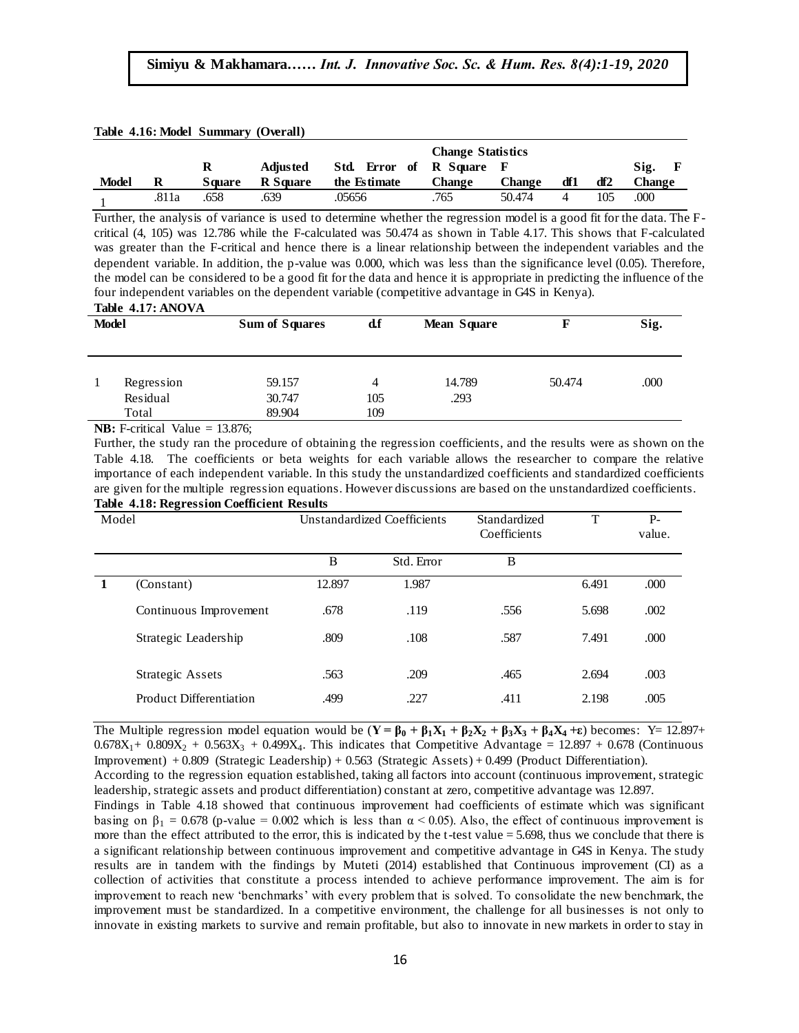|                          |       |        | Table 4.16: Model Summary (Overall) |               |               |        |     |     |                      |
|--------------------------|-------|--------|-------------------------------------|---------------|---------------|--------|-----|-----|----------------------|
| <b>Change Statistics</b> |       |        |                                     |               |               |        |     |     |                      |
|                          |       | R      | <b>Adjusted</b>                     | Std. Error of | R Square F    |        |     |     | $\mathbf{F}$<br>Sig. |
| <b>Model</b>             | R     | Square | R Square                            | the Estimate  | <b>Change</b> | Change | df1 | df2 | <b>Change</b>        |
|                          | .811a | .658   | .639                                | .05656        | .765          | 50.474 | 4   | 105 | .000                 |

Further, the analysis of variance is used to determine whether the regression model is a good fit for the data. The Fcritical (4, 105) was 12.786 while the F-calculated was 50.474 as shown in Table 4.17. This shows that F-calculated was greater than the F-critical and hence there is a linear relationship between the independent variables and the dependent variable. In addition, the p-value was 0.000, which was less than the significance level (0.05). Therefore, the model can be considered to be a good fit for the data and hence it is appropriate in predicting the influence of the four independent variables on the dependent variable (competitive advantage in G4S in Kenya).

|  |  | Table 4.17: ANOVA |
|--|--|-------------------|
|--|--|-------------------|

| <b>Model</b> |                   | <b>Sum of Squares</b> | d.f        | <b>Mean Square</b> |        | Sig. |
|--------------|-------------------|-----------------------|------------|--------------------|--------|------|
|              | Regression        | 59.157                | 4          | 14.789             | 50.474 | .000 |
|              | Residual<br>Total | 30.747<br>89.904      | 105<br>109 | .293               |        |      |
|              |                   |                       |            |                    |        |      |

**NB:** F-critical Value = 13.876;

Further, the study ran the procedure of obtaining the regression coefficients, and the results were as shown on the Table 4.18. The coefficients or beta weights for each variable allows the researcher to compare the relative  $\sim$ importance of each independent variable. In this study the unstandardized coefficients and standardized coefficients are given for the multiple regression equations. However discussions are based on the unstandardized coefficients. **Table 4.18: Regression Coefficient Results**

| Model |                                |        | <b>Unstandardized Coefficients</b> |      | T     | $P-$<br>value. |
|-------|--------------------------------|--------|------------------------------------|------|-------|----------------|
|       |                                | B      | Std. Error                         | B    |       |                |
|       | (Constant)                     | 12.897 | 1.987                              |      | 6.491 | .000           |
|       | Continuous Improvement         | .678   | .119                               | .556 | 5.698 | .002           |
|       | Strategic Leadership           | .809   | .108                               | .587 | 7.491 | .000           |
|       | Strategic Assets               | .563   | .209                               | .465 | 2.694 | .003           |
|       | <b>Product Differentiation</b> | .499   | .227                               | .411 | 2.198 | .005           |

The Multiple regression model equation would be  $(Y = \beta_0 + \beta_1 X_1 + \beta_2 X_2 + \beta_3 X_3 + \beta_4 X_4 + \epsilon)$  becomes: Y= 12.897+  $0.678X_1 + 0.809X_2 + 0.563X_3 + 0.499X_4$ . This indicates that Competitive Advantage = 12.897 + 0.678 (Continuous Improvement) + 0.809 (Strategic Leadership) + 0.563 (Strategic Assets) + 0.499 (Product Differentiation). According to the regression equation established, taking all factors into account (continuous improvement, strategic leadership, strategic assets and product differentiation) constant at zero, competitive advantage was 12.897. Findings in Table 4.18 showed that continuous improvement had coefficients of estimate which was significant basing on  $\beta_1 = 0.678$  (p-value = 0.002 which is less than  $\alpha$  < 0.05). Also, the effect of continuous improvement is more than the effect attributed to the error, this is indicated by the t-test value = 5.698, thus we conclude that there is a significant relationship between continuous improvement and competitive advantage in G4S in Kenya. The study results are in tandem with the findings by Muteti (2014) established that Continuous improvement (CI) as a collection of activities that constitute a process intended to achieve performance improvement. The aim is for improvement to reach new "benchmarks" with every problem that is solved. To consolidate the new benchmark, the improvement must be standardized. In a competitive environment, the challenge for all businesses is not only to innovate in existing markets to survive and remain profitable, but also to innovate in new markets in order to stay in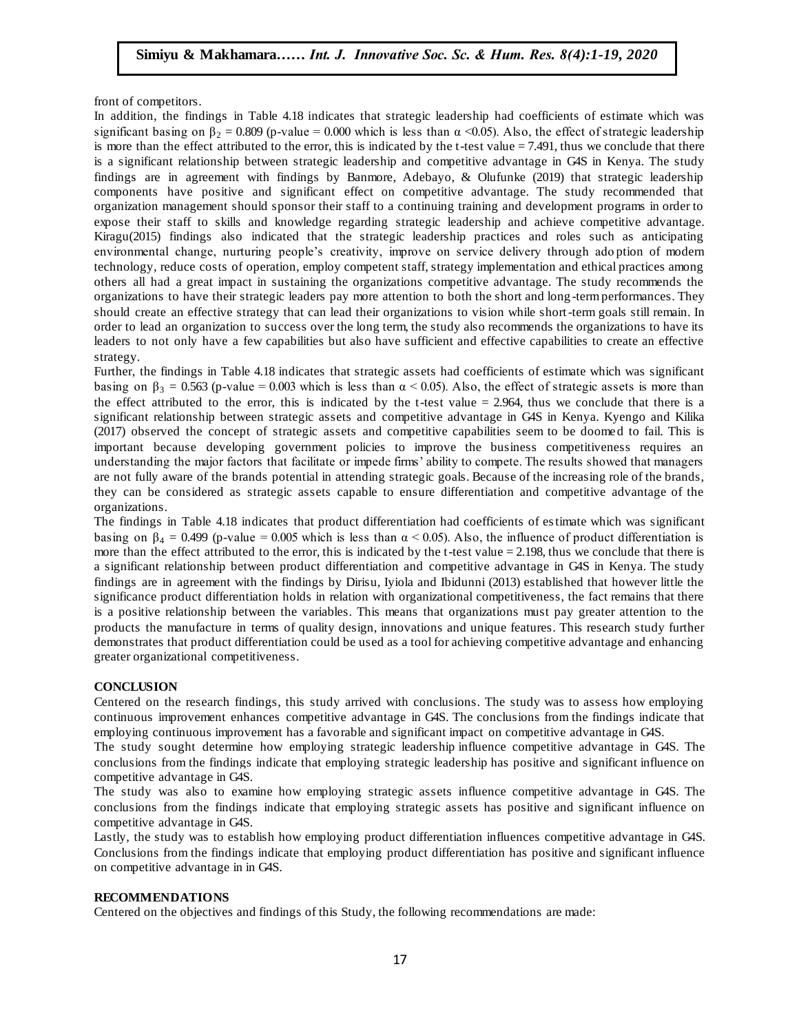front of competitors.

In addition, the findings in Table 4.18 indicates that strategic leadership had coefficients of estimate which was provaded and  $\frac{1}{2}$ . significant basing on  $\beta_2 = 0.809$  (p-value = 0.000 which is less than  $\alpha$  <0.05). Also, the effect of strategic leadership is more than the effect attributed to the error, this is indicated by the t-test value  $= 7.491$ , thus we conclude that there is a significant relationship between strategic leadership and competitive advantage in G4S in Kenya. The study findings are in agreement with findings by Banmore, Adebayo, & Olufunke (2019) that strategic leadership components have positive and significant effect on competitive advantage. The study recommended that components organization management should sponsor their staff to a continuing training and development programs in order to expose their staff to skills and knowledge regarding strategic leadership and achieve competitive advantage. Kiragu(2015) findings also indicated that the strategic leadership practices and roles such as anticipating environmental change, nurturing people's creativity, improve on service delivery through adoption of modern technology, reduce costs of operation, employ competent staff, strategy implementation and ethical practices among others all had a great impact in sustaining the organizations competitive advantage. The study recommends the organizations to have their strategic leaders pay more attention to both the short and long -term performances. They should create an effective strategy that can lead their organizations to vision while short-term goals still remain. In order to lead an organization to success over the long term, the study also recommends the organizations to have its order to lead an organization to success over the long term, the study also recommends the organizations leaders to not only have a few capabilities but also have sufficient and effective capabilities to create an effective strategy.

Further, the findings in Table 4.18 indicates that strategic assets had coefficients of estimate which was significant basing on  $\beta_3 = 0.563$  (p-value = 0.003 which is less than  $\alpha$  < 0.05). Also, the effect of strategic assets is more than the effect attributed to the error, this is indicated by the t-test value  $= 2.964$ , thus we conclude that there is a significant relationship between strategic assets and competitive advantage in G4S in Kenya. Kyengo and Kilika (2017) observed the concept of strategic assets and competitive capabilities seem to be doomed to fail. This is important because developing government policies to improve the business competitiveness requires an important because developing government policies to improve the business competitiveness requires and understanding the major factors that facilitate or impede firms' ability to compete. The results showed that managers are not fully aware of the brands potential in attending strategic goals. Because of the increasing role of the brands, they can be considered as strategic assets capable to ensure differentiation and competitive advantage of the organizations.

The findings in Table 4.18 indicates that product differentiation had coefficients of estimate which was significant basing on  $\beta_4 = 0.499$  (p-value = 0.005 which is less than  $\alpha$  < 0.05). Also, the influence of product differentiation is more than the effect attributed to the error, this is indicated by the t-test value = 2.198, thus we conclude that there is a significant relationship between product differentiation and competitive advantage in G4S in Kenya. The study findings are in agreement with the findings by Dirisu, Iyiola and Ibidunni (2013) established that however little the significance product differentiation holds in relation with organizational competitiveness, the fact remains that there is a positive relationship between the variables. This means that organizations must pay greater attention to the products the manufacture in terms of quality design, innovations and unique features. This research study further demonstrates that product differentiation could be used as a tool for achieving competitive advantage and enhancing greater organizational competitiveness.

#### **CONCLUSION**

Centered on the research findings, this study arrived with conclusions. The study was to assess how employing continuous improvement enhances competitive advantage in G4S. The conclusions from the findings indicate that employing continuous improvement has a favorable and significant impact on competitive advantage in G4S.

The study sought determine how employing strategic leadership influence competitive advantage in G4S. The conclusions from the findings indicate that employing strategic leadership has positive and significant influence on competitive advantage in G4S.

The study was also to examine how employing strategic assets influence competitive advantage in G4S. The conclusions from the findings indicate that employing strategic assets has positive and significant influence on competitive advantage in G4S.

Lastly, the study was to establish how employing product differentiation influences competitive advantage in G4S. Conclusions from the findings indicate that employing product differentiation has positive and significant influence on competitive advantage in in G4S.

#### **RECOMMENDATIONS**

Centered on the objectives and findings of this Study, the following recommendations are made: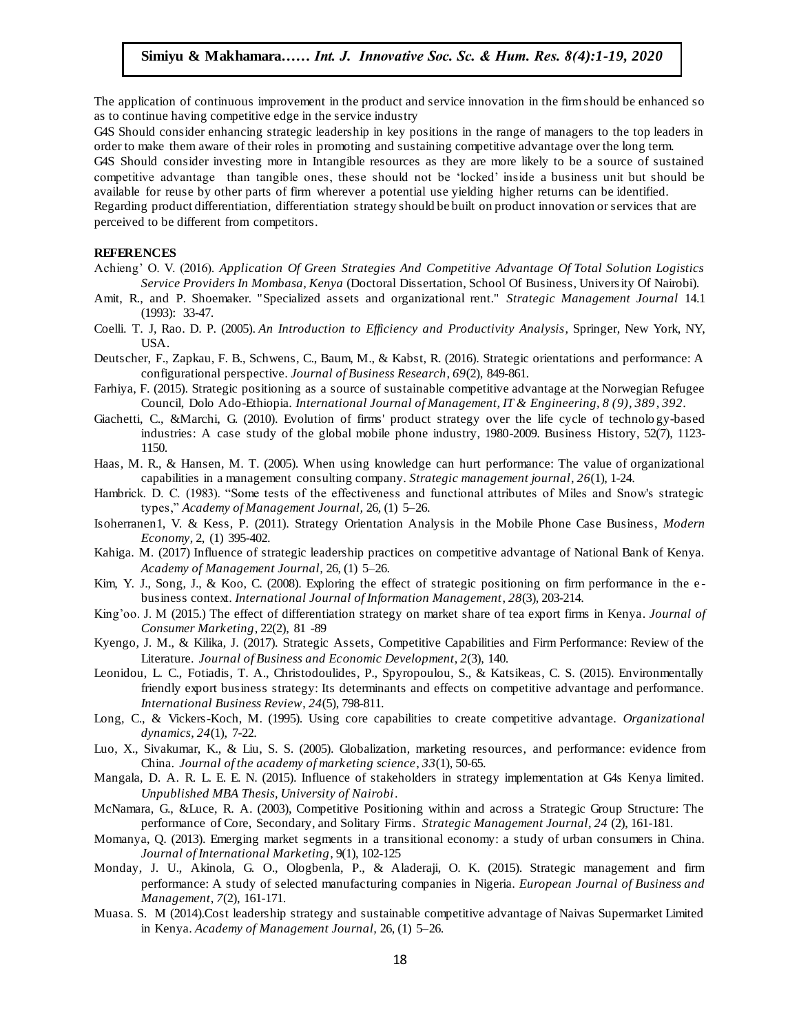The application of continuous improvement in the product and service innovation in the firm should be enhanced so as to continue having competitive edge in the service industry

as to continue naving competitive edge in the service maustry<br>G4S Should consider enhancing strategic leadership in key positions in the range of managers to the top leaders in order to make them aware of their roles in promoting and sustaining competitive advantage over the long term. G4S Should consider investing more in Intangible resources as they are more likely to be a source of sustained competitive advantage than tangible ones, these should not be "locked" inside a business unit but should be available for reuse by other parts of firm wherever a potential use yielding higher returns can be identified. Regarding product differentiation, differentiation strategy should be built on product innovation or services that are perceived to be different from competitors.

#### **REFERENCES**  $NCES$

- Achieng" O. V. (2016). *Application Of Green Strategies And Competitive Advantage Of Total Solution Logistics Service Providers In Mombasa, Kenya* (Doctoral Dissertation, School Of Business, University Of Nairobi).
- Amit, R., and P. Shoemaker. "Specialized assets and organizational rent." *Strategic Management Journal* 14.1 (1993): 33-47.
- Coelli. T. J, Rao. D. P. (2005). An Introduction to Efficiency and Productivity Analysis, Springer, New York, NY, USA.
- Deutscher, F., Zapkau, F. B., Schwens, C., Baum, M., & Kabst, R. (2016). Strategic orientations and performance: A configurational perspective. *Journal of Business Research*, *69*(2), 849-861.
- Farhiya, F. (2015). Strategic positioning as a source of sustainable competitive advantage at the Norwegian Refugee Council, Dolo Ado-Ethiopia. *International Journal of Management, IT & Engineering, 8 (9), 389*, *392*.
- Giachetti, C., &Marchi, G. (2010). Evolution of firms' product strategy over the life cycle of technolo gy-based industries: A case study of the global mobile phone industry, 1980-2009. Business History, 52(7), 1123- 1150.
- Haas, M. R., & Hansen, M. T. (2005). When using knowledge can hurt performance: The value of organizational capabilities in a management consulting company. *Strategic management journal*, *26*(1), 1-24.
- Hambrick. D. C. (1983). "Some tests of the effectiveness and functional attributes of Miles and Snow's strategic types," *Academy of Management Journal,* 26, (1) 5–26.
- Isoherranen1, V. & Kess, P. (2011). Strategy Orientation Analysis in the Mobile Phone Case Business, Modern *Economy*, 2, (1) 395-402.
- Kahiga. M. (2017) Influence of strategic leadership practices on competitive advantage of National Bank of Kenya. *Academy of Management Journal,* 26, (1) 5–26.
- Kim, Y. J., Song, J., & Koo, C. (2008). Exploring the effect of strategic positioning on firm performance in the ebusiness context. *International Journal of Information Management*, *28*(3), 203-214.
- King"oo. J. M (2015.) The effect of differentiation strategy on market share of tea export firms in Kenya. *Journal of Consumer Marketing*, 22(2), 81 -89
- Kyengo, J. M., & Kilika, J. (2017). Strategic Assets, Competitive Capabilities and Firm Performance: Review of the Literature. *Journal of Business and Economic Development*, *2*(3), 140.
- Leonidou, L. C., Fotiadis, T. A., Christodoulides, P., Spyropoulou, S., & Katsikeas, C. S. (2015). Environmentally friendly export business strategy: Its determinants and effects on competitive advantage and performance. *International Business Review*, *24*(5), 798-811.
- Long, C., & Vickers-Koch, M. (1995). Using core capabilities to create competitive advantage. *Organizational dynamics*, *24*(1), 7-22.
- Luo, X., Sivakumar, K., & Liu, S. S. (2005). Globalization, marketing resources, and performance: evidence from China. *Journal of the academy of marketing science*, *33*(1), 50-65.
- Mangala, D. A. R. L. E. E. N. (2015). Influence of stakeholders in strategy implementation at G4s Kenya limited. *Unpublished MBA Thesis, University of Nairobi*.
- McNamara, G., &Luce, R. A. (2003), Competitive Positioning within and across a Strategic Group Structure: The performance of Core, Secondary, and Solitary Firms. *Strategic Management Journal, 24* (2), 161-181.
- Momanya, Q. (2013). Emerging market segments in a transitional economy: a study of urban consumers in China. *Journal of International Marketing*, 9(1), 102-125
- Monday, J. U., Akinola, G. O., Ologbenla, P., & Aladeraji, O. K. (2015). Strategic management and firm performance: A study of selected manufacturing companies in Nigeria. *European Journal of Business and Management*, *7*(2), 161-171.
- Muasa. S. M (2014).Cost leadership strategy and sustainable competitive advantage of Naivas Supermarket Limited in Kenya. *Academy of Management Journal,* 26, (1) 5–26.